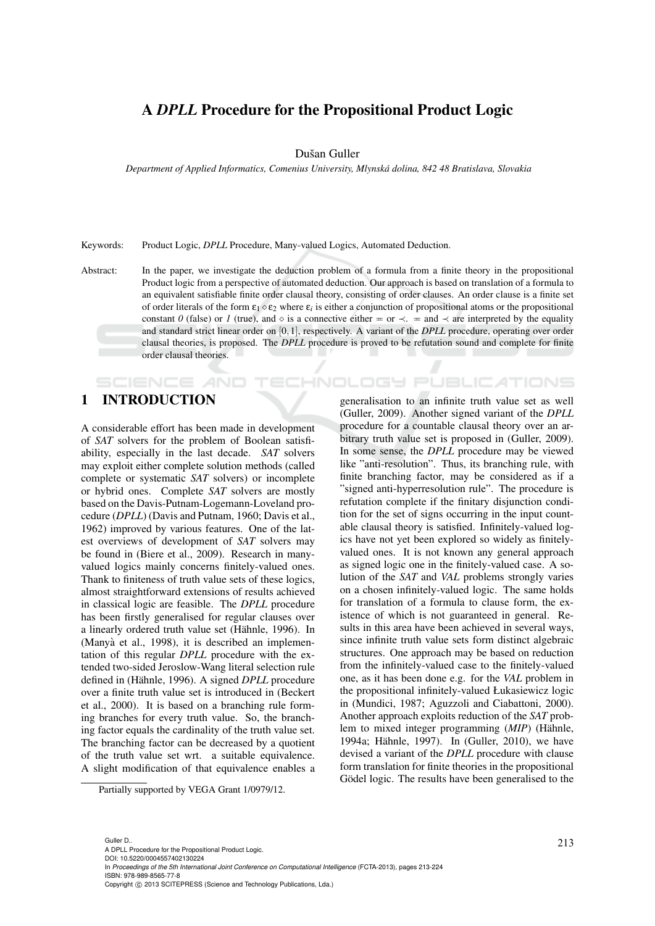# A *DPLL* Procedure for the Propositional Product Logic

Dušan Guller

*Department of Applied Informatics, Comenius University, Mlynska dolina, 842 48 Bratislava, Slovakia ´*

Keywords: Product Logic, *DPLL* Procedure, Many-valued Logics, Automated Deduction.

Abstract: In the paper, we investigate the deduction problem of a formula from a finite theory in the propositional Product logic from a perspective of automated deduction. Our approach is based on translation of a formula to an equivalent satisfiable finite order clausal theory, consisting of order clauses. An order clause is a finite set of order literals of the form  $\varepsilon_1 \diamond \varepsilon_2$  where  $\varepsilon_i$  is either a conjunction of propositional atoms or the propositional constant *0* (false) or *1* (true), and  $\circ$  is a connective either  $\pm$  or  $\prec$ .  $\pm$  and  $\prec$  are interpreted by the equality and standard strict linear order on [0,1], respectively. A variant of the *DPLL* procedure, operating over order clausal theories, is proposed. The *DPLL* procedure is proved to be refutation sound and complete for finite order clausal theories.

## 1 INTRODUCTION

**SCIENCE AND** 

A considerable effort has been made in development of *SAT* solvers for the problem of Boolean satisfiability, especially in the last decade. *SAT* solvers may exploit either complete solution methods (called complete or systematic *SAT* solvers) or incomplete or hybrid ones. Complete *SAT* solvers are mostly based on the Davis-Putnam-Logemann-Loveland procedure (*DPLL*) (Davis and Putnam, 1960; Davis et al., 1962) improved by various features. One of the latest overviews of development of *SAT* solvers may be found in (Biere et al., 2009). Research in manyvalued logics mainly concerns finitely-valued ones. Thank to finiteness of truth value sets of these logics, almost straightforward extensions of results achieved in classical logic are feasible. The *DPLL* procedure has been firstly generalised for regular clauses over a linearly ordered truth value set (Hähnle, 1996). In (Manyà et al., 1998), it is described an implementation of this regular *DPLL* procedure with the extended two-sided Jeroslow-Wang literal selection rule defined in (Hähnle, 1996). A signed *DPLL* procedure over a finite truth value set is introduced in (Beckert et al., 2000). It is based on a branching rule forming branches for every truth value. So, the branching factor equals the cardinality of the truth value set. The branching factor can be decreased by a quotient of the truth value set wrt. a suitable equivalence. A slight modification of that equivalence enables a

generalisation to an infinite truth value set as well (Guller, 2009). Another signed variant of the *DPLL* procedure for a countable clausal theory over an arbitrary truth value set is proposed in (Guller, 2009). In some sense, the *DPLL* procedure may be viewed like "anti-resolution". Thus, its branching rule, with finite branching factor, may be considered as if a "signed anti-hyperresolution rule". The procedure is refutation complete if the finitary disjunction condition for the set of signs occurring in the input countable clausal theory is satisfied. Infinitely-valued logics have not yet been explored so widely as finitelyvalued ones. It is not known any general approach as signed logic one in the finitely-valued case. A solution of the *SAT* and *VAL* problems strongly varies on a chosen infinitely-valued logic. The same holds for translation of a formula to clause form, the existence of which is not guaranteed in general. Results in this area have been achieved in several ways, since infinite truth value sets form distinct algebraic structures. One approach may be based on reduction from the infinitely-valued case to the finitely-valued one, as it has been done e.g. for the *VAL* problem in the propositional infinitely-valued Łukasiewicz logic in (Mundici, 1987; Aguzzoli and Ciabattoni, 2000). Another approach exploits reduction of the *SAT* problem to mixed integer programming (*MIP*) (Hähnle, 1994a; Hähnle, 1997). In (Guller, 2010), we have devised a variant of the *DPLL* procedure with clause form translation for finite theories in the propositional Gödel logic. The results have been generalised to the

CHNOLOGY PUBLICATIONS

Partially supported by VEGA Grant 1/0979/12.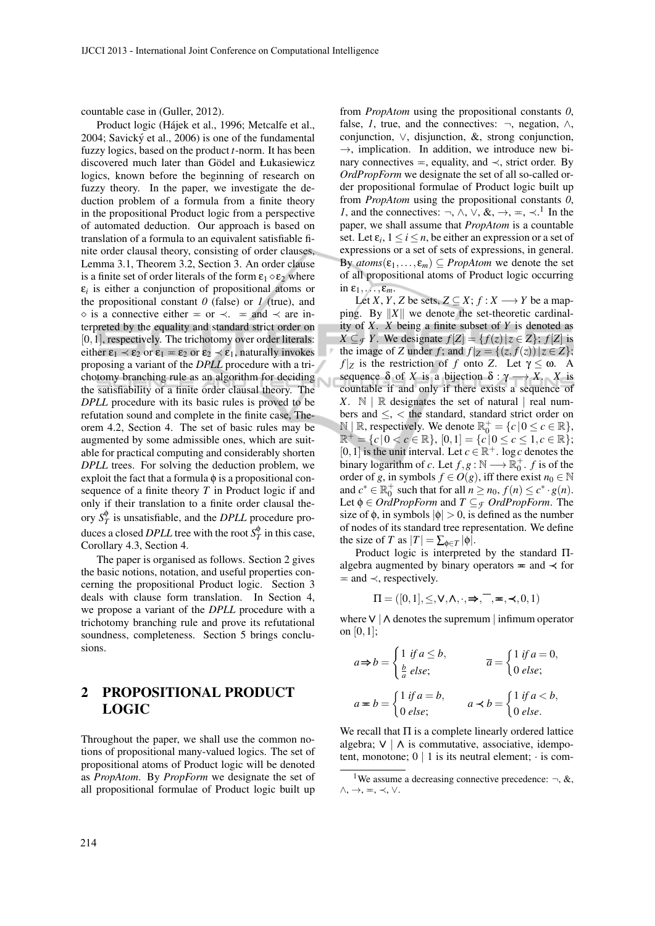countable case in (Guller, 2012).

Product logic (Hájek et al., 1996; Metcalfe et al., 2004; Savický et al., 2006) is one of the fundamental fuzzy logics, based on the product *t*-norm. It has been discovered much later than Gödel and Łukasiewicz logics, known before the beginning of research on fuzzy theory. In the paper, we investigate the deduction problem of a formula from a finite theory in the propositional Product logic from a perspective of automated deduction. Our approach is based on translation of a formula to an equivalent satisfiable finite order clausal theory, consisting of order clauses, Lemma 3.1, Theorem 3.2, Section 3. An order clause is a finite set of order literals of the form  $\varepsilon_1 \diamond \varepsilon_2$  where  $\varepsilon_i$  is either a conjunction of propositional atoms or the propositional constant  $\theta$  (false) or  $\theta$  (true), and  $\Diamond$  is a connective either  $\equiv$  or  $\prec$ .  $\equiv$  and  $\prec$  are interpreted by the equality and standard strict order on  $[0,1]$ , respectively. The trichotomy over order literals: either  $\varepsilon_1 \prec \varepsilon_2$  or  $\varepsilon_1 = \varepsilon_2$  or  $\varepsilon_2 \prec \varepsilon_1$ , naturally invokes proposing a variant of the *DPLL* procedure with a trichotomy branching rule as an algorithm for deciding the satisfiability of a finite order clausal theory. The *DPLL* procedure with its basic rules is proved to be refutation sound and complete in the finite case, Theorem 4.2, Section 4. The set of basic rules may be augmented by some admissible ones, which are suitable for practical computing and considerably shorten *DPLL* trees. For solving the deduction problem, we exploit the fact that a formula  $\phi$  is a propositional consequence of a finite theory *T* in Product logic if and only if their translation to a finite order clausal theory  $S_T^{\phi}$  is unsatisfiable, and the *DPLL* procedure produces a closed *DPLL* tree with the root  $S_T^{\phi}$  in this case, Corollary 4.3, Section 4.

The paper is organised as follows. Section 2 gives the basic notions, notation, and useful properties concerning the propositional Product logic. Section 3 deals with clause form translation. In Section 4, we propose a variant of the *DPLL* procedure with a trichotomy branching rule and prove its refutational soundness, completeness. Section 5 brings conclusions.

# 2 PROPOSITIONAL PRODUCT LOGIC

Throughout the paper, we shall use the common notions of propositional many-valued logics. The set of propositional atoms of Product logic will be denoted as *PropAtom*. By *PropForm* we designate the set of all propositional formulae of Product logic built up

from *PropAtom* using the propositional constants *0*, false, *1*, true, and the connectives:  $\neg$ , negation,  $\wedge$ , conjunction, ∨, disjunction, &, strong conjunction,  $\rightarrow$ , implication. In addition, we introduce new binary connectives  $=$ , equality, and  $\prec$ , strict order. By *OrdPropForm* we designate the set of all so-called order propositional formulae of Product logic built up from *PropAtom* using the propositional constants *0*, *1*, and the connectives:  $\neg$ ,  $\wedge$ ,  $\vee$ ,  $\&$ ,  $\rightarrow$ ,  $\Leftarrow$ ,  $\prec$ .<sup>1</sup> In the paper, we shall assume that *PropAtom* is a countable set. Let  $\varepsilon_i$ ,  $1 \le i \le n$ , be either an expression or a set of expressions or a set of sets of expressions, in general. By  $atoms(\varepsilon_1,...,\varepsilon_m) \subseteq PropAtom$  we denote the set of all propositional atoms of Product logic occurring in  $\varepsilon_1,\ldots,\varepsilon_m$ .

Let *X*, *Y*, *Z* be sets,  $Z \subseteq X$ ;  $f : X \longrightarrow Y$  be a mapping. By  $||X||$  we denote the set-theoretic cardinality of *X*. *X* being a finite subset of *Y* is denoted as *X* ⊆ *F Y*. We designate  $f[Z] = {f(z) | z ∈ Z}$ ;  $f[Z]$  is the image of *Z* under *f*; and  $f|_Z = \{(z, \overline{f}(z)) | z \in Z \};$ *f* |*z* is the restriction of *f* onto *Z*. Let  $\gamma \leq \omega$ . A sequence  $\delta$  of *X* is a bijection  $\delta : \gamma \longrightarrow X$ . *X* is countable if and only if there exists a sequence of  $X. \mathbb{N} \parallel \mathbb{R}$  designates the set of natural  $\parallel$  real numbers and ≤, < the standard, standard strict order on  $\mathbb{N} \mid \mathbb{R}$ , respectively. We denote  $\mathbb{R}_0^+ = \{c \mid 0 \leq c \in \mathbb{R}\},$  $\mathbb{R}^+ = \{c \mid 0 < c \in \mathbb{R} \}, [0,1] = \{c \mid 0 \le c \le 1, c \in \mathbb{R} \};$ [0, 1] is the unit interval. Let  $c \in \mathbb{R}^+$ . log *c* denotes the binary logarithm of *c*. Let  $f, g : \mathbb{N} \longrightarrow \mathbb{R}_0^+$ . *f* is of the order of *g*, in symbols  $f \in O(g)$ , iff there exist  $n_0 \in \mathbb{N}$ and  $c^* \in \mathbb{R}_0^+$  such that for all  $n \ge n_0$ ,  $f(n) \le c^* \cdot g(n)$ . Let  $\phi \in \text{OrdPropForm}$  and  $T \subseteq \tau$  *OrdPropForm*. The size of  $\phi$ , in symbols  $|\phi| > 0$ , is defined as the number of nodes of its standard tree representation. We define the size of *T* as  $|T| = \sum_{\phi \in T} |\phi|$ .

Product logic is interpreted by the standard Πalgebra augmented by binary operators  $=$  and  $\prec$  for  $=$  and  $\prec$ , respectively.

$$
\Pi = ([0,1], \leq, \vee, \wedge, \cdot, \Rightarrow, \overline{\phantom{a}}, \textbf{w}, \prec, 0, 1)
$$

where∨ | ∧ denotes the supremum | infimum operator on [0,1];

$$
a \Rightarrow b = \begin{cases} 1 & \text{if } a \le b, \\ \frac{b}{a} & \text{else;} \end{cases} \qquad \qquad \overline{a} = \begin{cases} 1 & \text{if } a = 0, \\ 0 & \text{else;} \end{cases}
$$

$$
a \Rightarrow b = \begin{cases} 1 & \text{if } a = b, \\ 0 & \text{else;} \end{cases} \qquad a \prec b = \begin{cases} 1 & \text{if } a < b, \\ 0 & \text{else.} \end{cases}
$$

We recall that  $\Pi$  is a complete linearly ordered lattice algebra;  $V \mid \Lambda$  is commutative, associative, idempotent, monotone;  $0 \mid 1$  is its neutral element;  $\cdot$  is com-

<sup>&</sup>lt;sup>1</sup>We assume a decreasing connective precedence:  $\neg$ , &,  $\wedge, \rightarrow, \equiv, \prec, \vee$ .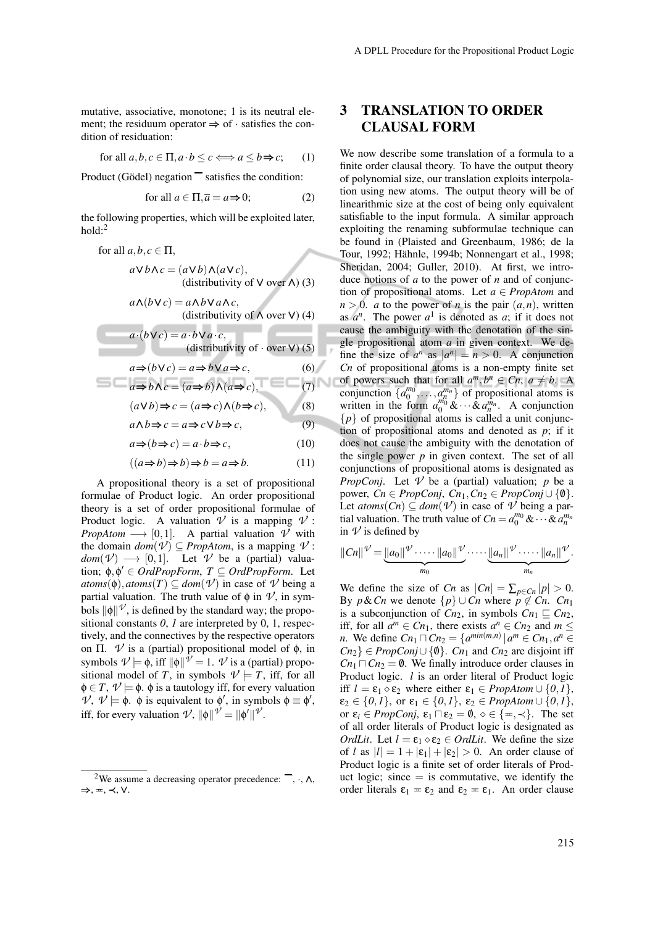mutative, associative, monotone; 1 is its neutral element; the residuum operator  $\Rightarrow$  of  $\cdot$  satisfies the condition of residuation:

for all 
$$
a, b, c \in \Pi, a \cdot b \le c \Longleftrightarrow a \le b \Rightarrow c;
$$
 (1)

Product (Gödel) negation  $\overline{\phantom{a}}$  satisfies the condition:

for all 
$$
a \in \Pi, \overline{a} = a \Rightarrow 0;
$$
 (2)

the following properties, which will be exploited later,  $hold: <sup>2</sup>$ 

for all 
$$
a, b, c \in \Pi
$$
,  
\n $a \vee b \wedge c = (a \vee b) \wedge (a \vee c)$ ,  
\n(distributivity of V over  $\wedge$ ) (3)  
\n $a \wedge (b \vee c) = a \wedge b \vee a \wedge c$ ,  
\n(distributivity of  $\wedge$  over V) (4)

$$
a \cdot (b \vee c) = a \cdot b \vee a \cdot c,
$$
  
(distributivity of  $\cdot$  over V) (5)

$$
a \Rightarrow (b \lor c) = a \Rightarrow b \lor a \Rightarrow c,\tag{6}
$$

$$
a \Rightarrow b \land c = (a \Rightarrow b) \land (a \Rightarrow c),
$$
  
(a) b) b c = (a \Rightarrow c) \land (b \Rightarrow c) (8)

$$
(a \mathbf{v} \mathbf{v}) \Rightarrow c = (a \Rightarrow c) \wedge (b \Rightarrow c),
$$

 $a \wedge b \Rightarrow c = a \Rightarrow c \vee b \Rightarrow c,$  (9)

$$
a \Rightarrow (b \Rightarrow c) = a \cdot b \Rightarrow c,\tag{10}
$$

$$
((a \Rightarrow b) \Rightarrow b) \Rightarrow b = a \Rightarrow b. \tag{11}
$$

A propositional theory is a set of propositional formulae of Product logic. An order propositional theory is a set of order propositional formulae of Product logic. A valuation  $\mathcal V$  is a mapping  $\mathcal V$ : *PropAtom*  $\longrightarrow$  [0,1]. A partial valuation  $\nu'$  with the domain  $dom(\mathcal{V}) \subseteq PropAtom$ , is a mapping  $\mathcal{V}$ :  $dom(\mathcal{V}) \longrightarrow [0,1]$ . Let  $\mathcal{V}$  be a (partial) valuation;  $\phi, \phi' \in \text{OrdPropForm}, T \subseteq \text{OrdPropForm}.$  Let  $atoms(\phi)$ *, atoms*(*T*)  $\subseteq$  *dom*(*V*) in case of *V* being a partial valuation. The truth value of  $\phi$  in  $\mathcal{V}$ , in symbols  $\|\phi\|$ <sup> $\psi$ </sup>, is defined by the standard way; the propositional constants *0*, *1* are interpreted by 0, 1, respectively, and the connectives by the respective operators on Π.  $V$  is a (partial) propositional model of  $φ$ , in symbols  $\mathcal{V} \models \phi$ , iff  $\|\phi\|^{\mathcal{V}} = 1$ .  $\mathcal{V}$  is a (partial) propositional model of *T*, in symbols  $\mathcal{V} \models T$ , iff, for all  $\phi \in T$ ,  $\mathcal{V} \models \phi$ .  $\phi$  is a tautology iff, for every valuation  $V, V \models \phi$ .  $\phi$  is equivalent to  $\phi'$ , in symbols  $\phi \equiv \phi'$ , iff, for every valuation  $\mathcal{V}, \|\phi\| \mathcal{V} = \|\phi'\| \mathcal{V}.$ 

## 3 TRANSLATION TO ORDER CLAUSAL FORM

We now describe some translation of a formula to a finite order clausal theory. To have the output theory of polynomial size, our translation exploits interpolation using new atoms. The output theory will be of linearithmic size at the cost of being only equivalent satisfiable to the input formula. A similar approach exploiting the renaming subformulae technique can be found in (Plaisted and Greenbaum, 1986; de la Tour, 1992; Hähnle, 1994b; Nonnengart et al., 1998; Sheridan, 2004; Guller, 2010). At first, we introduce notions of *a* to the power of *n* and of conjunction of propositional atoms. Let  $a \in PropAtom$  and  $n > 0$ . *a* to the power of *n* is the pair  $(a, n)$ , written as  $a^n$ . The power  $a^1$  is denoted as  $a$ ; if it does not cause the ambiguity with the denotation of the single propositional atom *a* in given context. We define the size of  $a^n$  as  $|a^n| = n > 0$ . A conjunction *Cn* of propositional atoms is a non-empty finite set of powers such that for all  $a^m, b^n \in C_n$ ,  $a \neq b$ . A conjunction  $\{a_0^{m_0}, \ldots, a_n^{m_n}\}$  of propositional atoms is written in the form  $a_0^{m_0}$  &  $\cdots$  &  $a_n^{m_n}$ . A conjunction  ${p}$  of propositional atoms is called a unit conjunction of propositional atoms and denoted as *p*; if it does not cause the ambiguity with the denotation of the single power *p* in given context. The set of all conjunctions of propositional atoms is designated as *PropConj*. Let  $\nu$  be a (partial) valuation; *p* be a power,  $C_n$  ∈  $PropConj$ ,  $C_{n_1}$ ,  $C_{n_2}$  ∈  $PropConj \cup \{\emptyset\}$ . Let  $atoms(Cn) \subseteq dom(\mathcal{V})$  in case of  $\mathcal{V}$  being a partial valuation. The truth value of  $C_n = a_0^{m_0} \& \cdots \& a_n^{m_n}$ in  $\nu$  is defined by

$$
||Cn||^{\mathcal{V}}=\underbrace{||a_0||^{\mathcal{V}}\cdot\cdots\cdot||a_0||^{\mathcal{V}}}_{m_0}\cdot\cdots\cdot\underbrace{||a_n||^{\mathcal{V}}\cdot\cdots\cdot||a_n||^{\mathcal{V}}}_{m_n}.
$$

We define the size of *Cn* as  $|C_n| = \sum_{p \in C_n} |p| > 0$ . By  $p \& Cn$  we denote  $\{p\} \cup Cn$  where  $p \notin Cn$ .  $Cn_1$ is a subconjunction of  $C_{n_2}$ , in symbols  $C_{n_1} \sqsubseteq C_{n_2}$ , iff, for all  $a^m \in Cn_1$ , there exists  $a^n \in Cn_2$  and  $m \leq$ *n*. We define  $Cn_1 \sqcap Cn_2 = \{a^{min(m,n)} | a^m \in Cn_1, a^n \in Cn_2, a^n \in Cn_2, a^n \in Cn_1, a^n \in Cn_2, a^n \in Cn_2, a^n \in Cn_2, a^n \in Cn_2, a^n \in Cn_2, a^n \in Cn_2, a^n \in Cn_2, a^n \in Cn_2, a^n \in Cn_2, a^n \in Cn_2, a^n \in Cn_2, a^n \in Cn_2, a^n \in Cn_2, a^n \in Cn_2, a^n \in Cn_2, a^n \in Cn_2, a^n \$  $Cn_2$ } ∈ *PropConj* $\cup$  {0}. *Cn*<sub>1</sub> and *Cn*<sub>2</sub> are disjoint iff  $Cn_1 \sqcap Cn_2 = \emptyset$ . We finally introduce order clauses in Product logic. *l* is an order literal of Product logic iff  $l = \varepsilon_1 \diamond \varepsilon_2$  where either  $\varepsilon_1 \in \text{Prop}:\{0,1\},\$  $\varepsilon_2 \in \{0,1\}$ , or  $\varepsilon_1 \in \{0,1\}$ ,  $\varepsilon_2 \in \text{PropAtom} \cup \{0,1\}$ , or  $\varepsilon_i \in PropConj$ ,  $\varepsilon_1 \sqcap \varepsilon_2 = \emptyset$ ,  $\diamond \in {\{\pm, \prec\}}$ . The set of all order literals of Product logic is designated as *OrdLit*. Let  $l = \varepsilon_1 \diamond \varepsilon_2 \in \text{Ord}$ *Lit*. We define the size of *l* as  $|l| = 1 + |\varepsilon_1| + |\varepsilon_2| > 0$ . An order clause of Product logic is a finite set of order literals of Product logic; since  $=$  is commutative, we identify the order literals  $\varepsilon_1 = \varepsilon_2$  and  $\varepsilon_2 = \varepsilon_1$ . An order clause

<sup>&</sup>lt;sup>2</sup>We assume a decreasing operator precedence:  $\overline{\phantom{a}}$ ,  $\cdot$ ,  $\wedge$ , ⇒, P, ≺, ∨.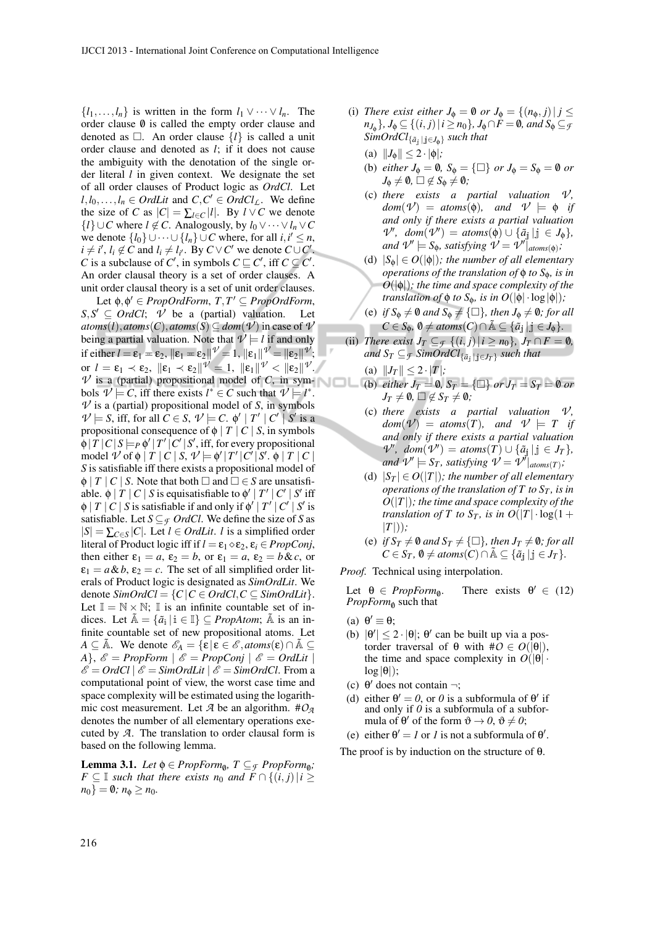$\{l_1, \ldots, l_n\}$  is written in the form  $l_1 \vee \cdots \vee l_n$ . The order clause  $\emptyset$  is called the empty order clause and denoted as  $\Box$ . An order clause  $\{l\}$  is called a unit order clause and denoted as *l*; if it does not cause the ambiguity with the denotation of the single order literal *l* in given context. We designate the set of all order clauses of Product logic as *OrdCl*. Let *l*,*l*<sub>0</sub>,...,*l*<sub>*n*</sub> ∈ *OrdLit* and *C*,*C*<sup>*'*</sup> ∈ *OrdCl<sub><i>L*</sub>. We define the size of *C* as  $|C| = \sum_{l \in C} |l|$ . By  $l \vee C$  we denote *{l*} ∪*C* where *l* ∉ *C*. Analogously, by  $l_0 \vee \cdots \vee l_n \vee C$ we denote  $\{l_0\}$  ∪ ··· ∪  $\{l_n\}$  ∪  $C$  where, for all  $i, i' \leq n$ ,  $i \neq i'$ ,  $l_i \notin \hat{C}$  and  $l_i \neq l_{i'}$ . By  $C \vee C'$  we denote  $C \cup C'$ . *C* is a subclause of *C*<sup>'</sup>, in symbols  $C \sqsubseteq C'$ , iff  $C \subseteq C'$ . An order clausal theory is a set of order clauses. A unit order clausal theory is a set of unit order clauses.

Let  $\phi$ ,  $\phi' \in PropOrdForm$ ,  $T$ ,  $T' \subseteq PropOrdForm$ ,  $S, S' \subseteq \text{Ord}Cl; \quad \bar{\mathcal{V}}$  be a (partial) valuation. Let  $atoms(l)$ ,  $atoms(C)$ ,  $atoms(S) \subseteq dom(V)$  in case of  $V$ being a partial valuation. Note that  $\nu \models l$  if and only if either  $l = \varepsilon_1 = \varepsilon_2$ ,  $\|\varepsilon_1 = \varepsilon_2\|^{\mathcal{V}} = 1$ ,  $\|\varepsilon_1\|^{\mathcal{V}} = \|\varepsilon_2\|^{\mathcal{V}}$ ; or  $l = \varepsilon_1 \prec \varepsilon_2$ ,  $\|\varepsilon_1 \prec \varepsilon_2\|^{\mathcal{V}} = 1$ ,  $\|\varepsilon_1\|^{\mathcal{V}} < \|\varepsilon_2\|^{\mathcal{V}}$ .  $\nu$  is a (partial) propositional model of *C*, in symbols  $\mathcal{V} \models C$ , iff there exists  $l^* \in C$  such that  $\mathcal{V} \models l^*$ .  $\nu$  is a (partial) propositional model of *S*, in symbols  $\mathcal{V} \models S$ , iff, for all  $C \in S$ ,  $\mathcal{V} \models C$ .  $\phi' | T' | C' | S'$  is a propositional consequence of  $\phi$  | *T* | *C* | *S*, in symbols  $\overline{\phi}$  |  $\overline{T}$  |  $C$  |  $S$   $\models$   $p$   $\phi'$  |  $T'$  |  $C'$  |  $S'$ , iff, for every propositional  $\mod \mathcal{V}$  of  $\phi \mid T \mid C \mid S, \mathcal{V} \models \phi' \mid T' \mid C' \mid S'. \phi \mid T \mid C \mid$ *S* is satisfiable iff there exists a propositional model of  $\phi$  | *T* | *C* | *S*. Note that both  $\Box$  and  $\Box \in S$  are unsatisfiable.  $\phi \mid T \mid C \mid S$  is equisatisfiable to  $\phi' \mid T' \mid C' \mid S'$  iff  $\phi \mid T \mid C \mid S$  is satisfiable if and only if  $\phi' \mid T' \mid C' \mid S'$  is satisfiable. Let  $S \subseteq \mathcal{F}$  *OrdCl*. We define the size of *S* as  $|S| = \sum_{C \in S} |C|$ . Let  $l \in OrdLit$ . *l* is a simplified order literal of Product logic iff if  $l = \varepsilon_1 \diamond \varepsilon_2$ ,  $\varepsilon_i \in PropConj$ , then either  $\varepsilon_1 = a$ ,  $\varepsilon_2 = b$ , or  $\varepsilon_1 = a$ ,  $\varepsilon_2 = b \&c$ , or  $\varepsilon_1 = a \& b, \varepsilon_2 = c$ . The set of all simplified order literals of Product logic is designated as *SimOrdLit*. We denote  $SimOrdCl = \{C \mid C \in OrdCl, C \subseteq SimOrdLit\}.$ Let  $\mathbb{I} = \mathbb{N} \times \mathbb{N}$ ;  $\mathbb{I}$  is an infinite countable set of indices. Let  $\tilde{A} = {\{\tilde{a}_i \mid i \in \mathbb{I}\}} \subseteq \text{PropAtom}; \tilde{A}$  is an infinite countable set of new propositional atoms. Let  $A \subseteq \tilde{A}$ . We denote  $\mathscr{E}_A = \{ \varepsilon \mid \varepsilon \in \mathscr{E}, \text{atoms}(\varepsilon) \cap \tilde{A} \subseteq$ *A*},  $\mathscr{E} = \text{PropForm} \mid \mathscr{E} = \text{PropConj} \mid \mathscr{E} = \text{Ord}$ Lit |  $\mathscr{E} = OrdCl \mid \mathscr{E} = SimOrdLit \mid \mathscr{E} = SimOrdCl$ . From a computational point of view, the worst case time and space complexity will be estimated using the logarithmic cost measurement. Let *A* be an algorithm.  $\#O_{\mathcal{A}}$ denotes the number of all elementary operations executed by *A*. The translation to order clausal form is based on the following lemma.

**Lemma 3.1.** *Let*  $\phi \in PropForm_{\emptyset}$ ,  $T \subseteq \mathcal{F} PropForm_{\emptyset}$ ; *F* ⊆ *I such that there exists n<sub>0</sub> and <i>F* ∩ {(*i*, *j*) | *i* ≥  $n_0$ } = 0;  $n_{\phi} \geq n_0$ .

- (i) *There exist either*  $J_{\phi} = \emptyset$  *or*  $J_{\phi} = \{(n_{\phi}, j) | j \leq$  $n_{J_{\phi}}$ },  $J_{\phi} \subseteq \{(i, j) | i \geq n_0\}$ ,  $J_{\phi} \cap F = \emptyset$ *, and*  $S_{\phi} \subseteq g$ *SimOrdCl*{*a*˜<sup>j</sup> <sup>|</sup> <sup>j</sup>∈*J*φ} *such that*
	- (a)  $||J_{\phi}|| \leq 2 \cdot |\phi|$ ;
	- (b) *either*  $J_{\phi} = \emptyset$ ,  $S_{\phi} = {\Box}$  *or*  $J_{\phi} = S_{\phi} = \emptyset$  *or*  $J_{\Phi} \neq \emptyset$ *,*  $\square \not\in S_{\Phi} \neq \emptyset$ *;*
	- (c) *there* exists a partial valuation  $V$ ,  $dom(\mathcal{V}) = atoms(\phi)$ *, and*  $\mathcal{V} \models \phi$  *if and only if there exists a partial valuation*  $V'$ ,  $dom(V') = atoms(\phi) \cup \{\tilde{a}_j | j \in J_{\phi}\},$ *and*  $\mathcal{V}' \models S_{\phi}$ *, satisfying*  $\mathcal{V} = \mathcal{V}'|_{atoms(\phi)}$ ;
	- (d)  $|S_{\phi}| \in O(|\phi|)$ *; the number of all elementary operations of the translation of* φ *to S*φ*, is in O*(|φ|)*; the time and space complexity of the translation of*  $\phi$  *to*  $S_{\phi}$ *, is in*  $O(|\phi| \cdot \log |\phi|)$ *;*
	- (e) *if*  $S_{\phi} \neq \emptyset$  *and*  $S_{\phi} \neq {\Box}$ *, then*  $J_{\phi} \neq \emptyset$ *; for all*  $C \in S_{\phi}, \ \emptyset \neq atoms(C) \cap \tilde{A} \subseteq {\tilde{a}}_j | j \in J_{\phi}$ .
- (ii) *There exist*  $J_T \subseteq \mathcal{F}$   $\{(i, j) | i \geq n_0\}$ ,  $J_T \cap F = \emptyset$ ,  $and S_T \subseteqq_{\mathcal{F}} SimOrdCl_{\{\tilde{a}_j \mid j \in J_T\}} such that$ 
	- (a)  $||J_T|| \leq 2 \cdot |T|$ ;
	- (b) *either*  $J_T = 0$ ,  $S_T = {\square}$  *or*  $J_T = S_T = 0$  *or*  $J_T \neq \emptyset$ ,  $\square \notin S_T \neq \emptyset$ *;*
	- (c) *there* exists a partial valuation  $V$ ,  $dom(\mathcal{V}) = atoms(T)$ *, and*  $\mathcal{V} \models T$  *if and only if there exists a partial valuation*  $V'$ ,  $dom(V') = atoms(T) \cup \{\tilde{a}_j | j \in J_T\}$ , *and*  $\mathcal{V}' \models S_T$ *, satisfying*  $\mathcal{V}' = \mathcal{V}'|_{atoms(T)}$ ;
	- (d)  $|S_T| \in O(|T|)$ ; the number of all elementary *operations of the translation of T to S<sup>T</sup> , is in O*(|*T*|)*; the time and space complexity of the translation of T to*  $S_T$ *, is in*  $O(|T| \cdot log(1 +$  $|T|$ );
	- (e) *if*  $S_T \neq \emptyset$  and  $S_T \neq {\Box}$ , then  $J_T \neq \emptyset$ ; for all *C* ∈ *S*<sup>*T*</sup>,  $\emptyset$  ≠ *atoms*(*C*) ∩ Å ⊆ { $\tilde{a}$ <sub>i</sub> | j ∈ *J*<sup>*T*</sup>}.

*Proof.* Technical using interpolation.

Let  $\theta \in \mathit{PropForm}_{\emptyset}$ . . There exists  $\theta' \in (12)$ *PropForm*<sup>0</sup> such that

- (a)  $\theta' \equiv \theta;$
- (b)  $|\theta'| \le 2 \cdot |\theta|$ ;  $\theta'$  can be built up via a postorder traversal of θ with  $\sharp O \in O(|\theta|)$ , the time and space complexity in  $O(|\theta| \cdot )$  $\log |\theta|$ );
- (c)  $\theta'$  does not contain  $\neg$ ;
- (d) either  $\theta' = 0$ , or 0 is a subformula of  $\theta'$  if and only if *0* is a subformula of a subformula of  $\theta'$  of the form  $\vartheta \to 0$ ,  $\vartheta \neq 0$ ;
- (e) either  $\theta' = I$  or *I* is not a subformula of  $\theta'$ .

The proof is by induction on the structure of  $\theta$ .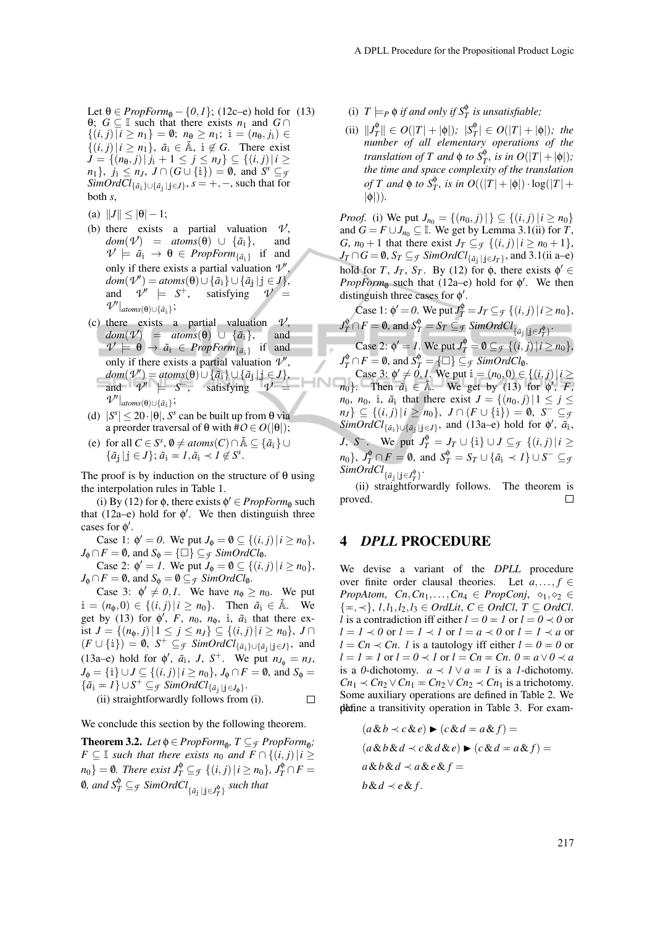- Let  $\theta \in \text{PropForm}_{\theta} \{0, 1\}$ ; (12c–e) hold for (13) θ; *G* ⊆ I such that there exists *n*<sub>1</sub> and *G* ∩  ${(i, j) | i ≥ n<sub>1</sub>} = ∅; n<sub>θ</sub> ≥ n<sub>1</sub>; i = (n<sub>θ</sub>, j<sub>i</sub>) ∈$  $\{(i, j) | i \geq n_1\}, \tilde{a}_i \in \tilde{A}, i \notin G$ . There exist *J* = { $(n_{\theta}, j) | j_i + 1 \le j \le n_j$ } ⊆ { $(i, j) | i \ge$  $n_1$ },  $j_i \leq n_J$ ,  $J \cap (G \cup \{i\}) = \emptyset$ , and  $S^s \subseteq g$  $SimOrdCl_{\{\tilde{a}_{\dot{a}}\}\cup\{\tilde{a}_{\dot{j}}\mid \dot{c}\}}$ ,  $s=+,-$ , such that for both *s*,
- (a)  $||J|| \le |\theta| 1;$
- (b) there exists a partial valuation  $\nu'$ ,  $dom(\mathcal{V}) = atoms(\theta) \cup {\{\tilde{a}_i\}},$  and  $\mathcal{V} \models \tilde{a}_{i} \rightarrow \theta \in \mathit{PropForm}_{\{\tilde{a}_{i}\}}$  if and only if there exists a partial valuation  $\mathcal{V}'$ ,  $dom(\mathcal{V}') = atoms(\theta) \cup \{\tilde{a}_i\} \cup \{\tilde{a}_j | j \in J\},$ and  $\mathcal{V}' \models S^+$ , satisfying  $\mathcal{V} =$  $\mathcal{V}'|_{atoms(\theta) \cup \{\tilde{a}_i\}}$ ;
- (c) there exists a partial valuation  $V$ ,  $dom(\mathcal{V})$  =  $atoms(\theta) \cup \{\tilde{a}_i\}$ , and  $\mathcal{V} \models \Theta \rightarrow \tilde{a}_{i} \in \mathit{PropForm}_{\{\tilde{a}_{i}\}}$  if and only if there exists a partial valuation  $\mathcal{V}'$ ,  $dom(\mathcal{V}') = atoms(\theta) \cup \{\tilde{a}_i\} \cup \{\tilde{a}_j | j \in J\},$ and  $\mathcal{V}' \models S^-$ , satisfying  $\mathcal{V} =$  $\mathcal{V}'|_{atoms(\theta) \cup \{\tilde{a}_i\}}$ ;
- (d)  $|S^s| \le 20 \cdot |\theta|$ , *S*<sup>*s*</sup> can be built up from  $\theta$  via a preorder traversal of  $θ$  with  $#O ∈ O(|θ|);$
- (e) for all  $C \in S^s$ ,  $\emptyset \neq atoms(C) \cap \tilde{A} \subseteq {\tilde{a}}_i$  ∪  $\{\tilde{a}_{j} | j \in J\}; \tilde{a}_{i} = I, \tilde{a}_{i} \prec I \notin S^{s}.$

The proof is by induction on the structure of  $\theta$  using the interpolation rules in Table 1.

(i) By (12) for  $\phi$ , there exists  $\phi' \in PropForm_{\emptyset}$  such that (12a–e) hold for  $\phi'$ . We then distinguish three cases for  $\phi'$ .

Case 1:  $\phi' = 0$ . We put  $J_{\phi} = \emptyset \subseteq \{(i, j) | i \ge n_0\}$ ,  $J_{\phi} \cap F = \emptyset$ , and  $S_{\phi} = {\Box} \} \subseteq \mathcal{F}$  *SimOrdCl*<sub>0</sub>.

Case 2:  $\phi' = I$ . We put  $J_{\phi} = \emptyset \subseteq \{(i, j) | i \ge n_0\}$ ,  $J_{\phi} \cap F = \emptyset$ , and  $S_{\phi} = \emptyset \subseteq$  *f SimOrdCl*<sub>0</sub>.

Case 3:  $\phi' \neq 0, 1$ . We have  $n_{\phi} \geq n_0$ . We put  $i = (n_{\phi}, 0) \in \{(i, j) | i \geq n_0\}$ . Then  $\tilde{a}_i \in \tilde{A}$ . We get by (13) for  $\phi'$ , *F*, *n*<sub>0</sub>, *n*<sub> $\phi$ </sub>, *i*,  $\tilde{a}_i$  that there exist *J* = { $(n_0, j) | 1 \le j \le n_J$ } ⊆ { $(i, j) | i \ge n_0$ }, *J* ∩  $(F \cup \{i\}) = \emptyset$ ,  $S^+ \subseteq$  *f SimOrdCl*<sub>{ $\tilde{a}_i$ }∪{ $\tilde{a}_j$ |j∈*J*}</sub>, and (13a–e) hold for  $\phi'$ ,  $\tilde{a}_i$ , *J*, *S*<sup>+</sup>. We put  $n_{J_\phi} = n_J$ , *J*<sub>φ</sub> = {i}∪*J* ⊆ {(*i*, *j*)|*i* ≥ *n*<sub>0</sub>}, *J*<sub>φ</sub> ∩ *F* = 0, and *S*<sub>φ</sub> =  $\{\tilde{a}_i = 1\} \cup S^+ \subseteq$  *f*  $SimOrdCl_{\{\tilde{a}_j \mid j \in J_{\phi}\}}.$ (ii) straightforwardly follows from (i).  $\Box$ 

We conclude this section by the following theorem.

**Theorem 3.2.** *Let*  $\phi \in PropForm_{\phi}$ ,  $T \subseteq_{\mathcal{F}} PropForm_{\phi}$ ; *F* ⊆ I *such that there exists*  $n_0$  *and*  $F \cap \{(i, j) | i \geq j$  $n_0$ } = 0. There exist  $J_T^{\phi} \subseteq_{\mathcal{F}} \{ (i,j) | i \geq n_0 \}$ ,  $J_T^{\phi} \cap F =$  $\emptyset$ , and  $S_T^\Phi \subseteq_{\mathcal{F}} \mathit{SimOrdCl}_{\{ \tilde{a}_j \mid \mathbf{j} \in J_T^\Phi \}}$  such that

- (i)  $T \models_P \phi$  *if and only if*  $S_T^{\phi}$  *is unsatisfiable;*
- $\|\textit{J}_T^{\phi}\| \in O(|T| + |\phi|); \ |\textit{S}_T^{\phi}| \in O(|T| + |\phi|); \text{ the }$ *number of all elementary operations of the translation of*  $T$  *and*  $\phi$  *to*  $S_T^{\phi}$ *, is in*  $O(|T|+|\phi|)$ *; the time and space complexity of the translation of T* and  $\phi$  *to*  $S_T^{\phi}$ *, is in*  $O((|T| + |\phi|) \cdot \log(|T| + \phi))$ |φ|))*.*

*Proof.* (i) We put  $J_{n_0} = \{(n_0, j) | \} \subseteq \{(i, j) | i \ge n_0\}$ and  $G = F \cup J_{n_0} \subseteq \mathbb{I}$ . We get by Lemma 3.1(ii) for *T*, *G*,  $n_0 + 1$  that there exist  $J_T \subseteq \mathcal{F} \{ (i, j) | i \geq n_0 + 1 \},$  $J_T \cap G = \emptyset$ ,  $S_T \subseteq_{\mathcal{F}} SimOrdCl_{\{\tilde{a}_j \mid j \in J_T\}}$ , and 3.1(ii a–e) hold for *T*,  $J_T$ ,  $S_T$ . By (12) for  $\phi$ , there exists  $\phi' \in$ *PropForm*<sup>0</sup> such that (12a–e) hold for  $\phi'$ . We then distinguish three cases for  $\phi'$ .

Case 1: 
$$
\phi' = 0
$$
. We put  $J_T^{\phi} = J_T \subseteq_{\mathcal{F}} \{ (i, j) | i \ge n_0 \}$ ,  
\n $J_T^{\phi} \cap F = \emptyset$ , and  $S_T^{\phi} = S_T \subseteq_{\mathcal{F}} SimOrdCl_{\{\tilde{a}_j | j \in J_T^{\phi}\}}$ .  
\nCase 2:  $\phi' = I$ . We put  $J_T^{\phi} = \emptyset \subseteq_{\mathcal{F}} \{ (i, j) | i \ge n_0 \}$ ,  
\n $J_T^{\phi} \cap F = \emptyset$ , and  $S_T^{\phi} = \{ \square \} \subseteq_{\mathcal{F}} SimOrdCl_{\emptyset}$ .

Case 3:  $\phi' \neq 0, 1$ . We put  $i = (n_0, 0) \in \{(i, j) | i \geq 1\}$  $n_0$ }. Then  $\tilde{a}_i \in \tilde{A}$ . We get by (13) for  $\phi'$ , *F*, *n*<sub>0</sub>, *n*<sub>0</sub>, i<sub>i</sub>,  $\tilde{a}_i$  that there exist  $J = \{(n_0, j) | 1 \le j \le n\}$  $n_J$ }  $\subseteq$  {(*i*, *j*) | *i*  $\ge n_0$ }, *J*  $\cap$  (*F*  $\cup$  {i}) = 0, *S*<sup> $-$ </sup>  $\subseteq$  *f*  $SimOrdCl_{\{\tilde{a}_i\}\cup\{\tilde{a}_j\mid j\in J\}}$ , and (13a–e) hold for  $\phi'$ ,  $\tilde{a}_i$ , *J*, *S*<sup>-</sup>. We put  $J_T^{\phi} = J_T \cup \{i\} \cup J \subseteq_f \{ (i, j) | i \geq 1 \}$  $m_0\}$ ,  $J_T^{\phi} \cap F = \emptyset$ , and  $S_T^{\phi} = S_T \cup \{\tilde{a}_i \prec I\} \cup S^- \subseteq \mathfrak{g}$  $SimOrdCl_{\{\tilde{a}_j \mid j \in J_T^{\phi}\}}$ .

(ii) straightforwardly follows. The theorem is proved.

#### 4 *DPLL* PROCEDURE

We devise a variant of the *DPLL* procedure over finite order clausal theories. Let  $a, \ldots, f \in$ *PropAtom, Cn, Cn<sub>1</sub>,..., Cn<sub>4</sub>*  $\in$  *PropConj,*  $\diamond_1, \diamond_2 \in$ {P,≺}, *l*,*l*1,*l*2,*l*<sup>3</sup> ∈ *OrdLit*, *C* ∈ *OrdCl*, *T* ⊆ *OrdCl*. *l* is a contradiction iff either  $l = 0 = 1$  or  $l = 0 \prec 0$  or  $l = l \prec 0$  or  $l = l \prec l$  or  $l = a \prec 0$  or  $l = l \prec a$  or  $l = Cn \prec Cn$ . *l* is a tautology iff either  $l = 0 = 0$  or  $l = l = 1$  or  $l = 0 \prec l$  or  $l = Cn = Cn$ .  $0 = a \lor 0 \prec a$ is a *0*-dichotomy.  $a \prec l \lor a = l$  is a *1*-dichotomy.  $Cn_1 \prec Cn_2 \vee Cn_1 = Cn_2 \vee Cn_2 \prec Cn_1$  is a trichotomy. Some auxiliary operations are defined in Table 2. We define a transitivity operation in Table 3. For exam-

$$
(a \& b \prec c \& e) \blacktriangleright (c \& d = a \& f) =
$$

$$
(a \& b \& d \prec c \& d \& e) \blacktriangleright (c \& d = a \& f) =
$$

$$
a \& b \& d \prec a \& e \& f =
$$

$$
b \& d \prec e \& f.
$$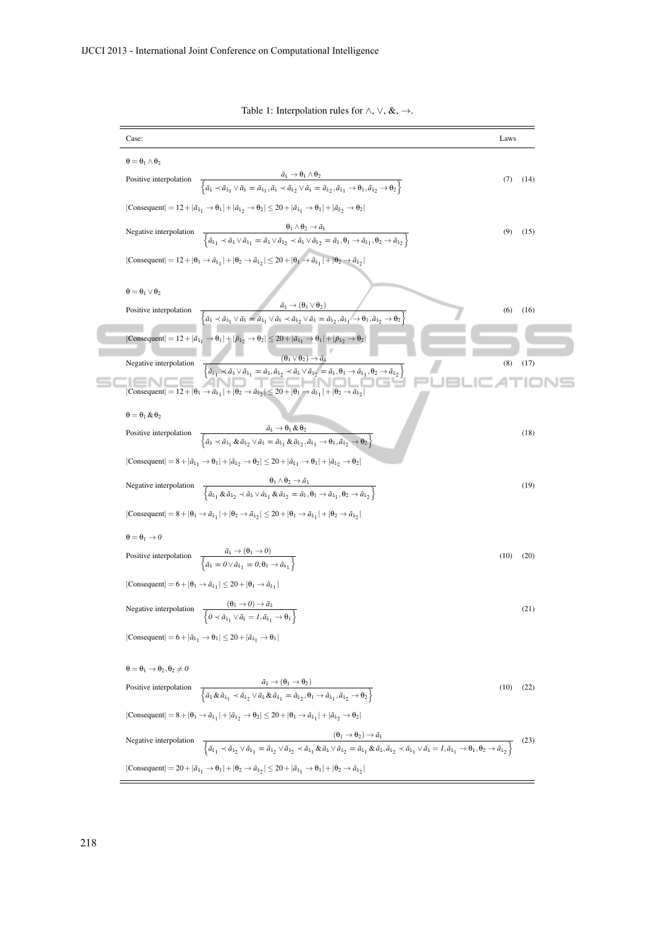| Case:                                                                                                                                                                                                                                                                                                                                                                                                                                                     | Laws |      |
|-----------------------------------------------------------------------------------------------------------------------------------------------------------------------------------------------------------------------------------------------------------------------------------------------------------------------------------------------------------------------------------------------------------------------------------------------------------|------|------|
| $\theta = \theta_1 \wedge \theta_2$                                                                                                                                                                                                                                                                                                                                                                                                                       |      |      |
| $\frac{a_i \to \mathbf{0}_1 \wedge \mathbf{0}_2}{\left\{ \tilde{a}_i \prec \tilde{a}_{i_1} \vee \tilde{a}_i = \tilde{a}_{i_1}, \tilde{a}_i \prec \tilde{a}_{i_2} \vee \tilde{a}_i = \tilde{a}_{i_2}, \tilde{a}_{i_1} \to \mathbf{0}_1, \tilde{a}_{i_2} \to \mathbf{0}_2 \right\}}$<br>Positive interpolation                                                                                                                                              | (7)  | (14) |
| $ \text{Consequent}  = 12 +  \tilde{a}_{1}  \rightarrow \theta_1  +  \tilde{a}_{12} \rightarrow \theta_2  \leq 20 +  \tilde{a}_{11} \rightarrow \theta_1  +  \tilde{a}_{12} \rightarrow \theta_2 $                                                                                                                                                                                                                                                        |      |      |
| $\frac{\theta_1 \wedge \theta_2 \rightarrow a_i}{\left\{ \tilde{a}_{i_1} \prec \tilde{a}_i \vee \tilde{a}_{i_1} = \tilde{a}_i \vee \tilde{a}_{i_2} \prec \tilde{a}_i \vee \tilde{a}_{i_2} = \tilde{a}_i, \theta_1 \rightarrow \tilde{a}_{i_1}, \theta_2 \rightarrow \tilde{a}_{i_2} \right\}}$<br>Negative interpolation                                                                                                                                  | (9)  | (15) |
| $ Consequent  = 12 +  \theta_1 \rightarrow \tilde{a}_{i_1}  +  \theta_2 \rightarrow \tilde{a}_{i_2}  \le 20 +  \theta_1 \rightarrow \tilde{a}_{i_1}  +  \theta_2 \rightarrow \tilde{a}_{i_2} $                                                                                                                                                                                                                                                            |      |      |
| $\theta = \theta_1 \vee \theta_2$                                                                                                                                                                                                                                                                                                                                                                                                                         |      |      |
| $\tilde{a}_1 \rightarrow (\theta_1 \vee \theta_2)$<br>Positive interpolation<br>$\overline{\left\{\tilde{a}_i \prec \tilde{a}_{i_1} \vee \tilde{a}_i = \tilde{a}_{i_1} \vee \tilde{a}_i \prec \tilde{a}_{i_2} \vee \tilde{a}_i = \tilde{a}_{i_2}, \tilde{a}_{i_1} \rightarrow \theta_1, \tilde{a}_{i_2} \rightarrow \theta_2\right\}}$                                                                                                                    | (6)  | (16) |
| $ \text{Consequent}  = 12 +  \tilde{a}_{1}  \rightarrow \theta_1  +  \tilde{p}_{12} \rightarrow \theta_2  \le 20 +  \tilde{a}_{11} \rightarrow \theta_1  +  \tilde{p}_{12} \rightarrow \theta_2 $                                                                                                                                                                                                                                                         |      |      |
| $\frac{(\theta_1 \vee \theta_2) \rightarrow \tilde{a}_\mathbf{i}}{\left\{\tilde{a}_{\mathbf{i}_1} \prec \tilde{a}_\mathbf{i} \vee \tilde{a}_{\mathbf{i}_1} = \tilde{a}_\mathbf{i}, \tilde{a}_{\mathbf{i}_2} \prec \tilde{a}_\mathbf{i} \vee \tilde{a}_{\mathbf{i}_2} = \tilde{a}_\mathbf{i}, \theta_1 \rightarrow \tilde{a}_{\mathbf{i}_1}, \theta_2 \rightarrow \tilde{a}_{\mathbf{i}_2}\right\}}$<br>Negative interpolation                             | (8)  | (17) |
| Consequent $  = 12 +  \theta_1 \rightarrow \tilde{a}_{11}  +  \theta_2 \rightarrow \tilde{a}_{12}  \le 20 +  \theta_1 \rightarrow \tilde{a}_{11}  +  \theta_2 \rightarrow \tilde{a}_{12} $                                                                                                                                                                                                                                                                |      |      |
| $\theta = \theta_1 \& \theta_2$                                                                                                                                                                                                                                                                                                                                                                                                                           |      |      |
| $\frac{\tilde{a}_i \rightarrow \theta_1 \& \theta_2}{\left\{\tilde{a}_i \prec \tilde{a}_{i_1} \& \tilde{a}_{i_2} \vee \tilde{a}_i = \tilde{a}_{i_1} \& \tilde{a}_{i_2}, \tilde{a}_{i_1} \rightarrow \theta_1, \tilde{a}_{i_2} \rightarrow \theta_2\right\}}$<br>Positive interpolation                                                                                                                                                                    |      | (18) |
| $ \text{Consequent}  = 8 +  \tilde{a}_{11} \rightarrow \theta_1  +  \tilde{a}_{12} \rightarrow \theta_2  \le 20 +  \tilde{a}_{11} \rightarrow \theta_1  +  \tilde{a}_{12} \rightarrow \theta_2 $                                                                                                                                                                                                                                                          |      |      |
| $\frac{\theta_1 \wedge \theta_2 \rightarrow \bar{a}_1}{\left\{\tilde{a}_{i_1} \& \tilde{a}_{i_2} \prec \tilde{a}_i \vee \tilde{a}_{i_1} \& \tilde{a}_{i_2} = \tilde{a}_i, \theta_1 \rightarrow \tilde{a}_{i_1}, \theta_2 \rightarrow \tilde{a}_{i_2}\right\}}$<br>Negative interpolation                                                                                                                                                                  |      | (19) |
| $ Consequent  = 8 +  \theta_1 \rightarrow \tilde{a}_{1}  +  \theta_2 \rightarrow \tilde{a}_{12}  \le 20 +  \theta_1 \rightarrow \tilde{a}_{1}  +  \theta_2 \rightarrow \tilde{a}_{12} $                                                                                                                                                                                                                                                                   |      |      |
| $\theta = \theta_1 \rightarrow 0$                                                                                                                                                                                                                                                                                                                                                                                                                         |      |      |
| Positive interpolation $\frac{\tilde{a}_i \rightarrow (\theta_1 \rightarrow 0)}{\left\{\tilde{a}_i = 0 \lor \tilde{a}_{i_1} = 0, \theta_1 \rightarrow \tilde{a}_{i_1}\right\}}$                                                                                                                                                                                                                                                                           | (10) | (20) |
| $ Consequent  = 6 +  \theta_1 \rightarrow \tilde{a}_{i_1}  \le 20 +  \theta_1 \rightarrow \tilde{a}_{i_1} $                                                                                                                                                                                                                                                                                                                                               |      |      |
| Negative interpolation $\frac{(\theta_1 \to 0) \to \tilde{a}_1}{\left\{\theta \prec \tilde{a}_{i_1} \lor \tilde{a}_1 = 1, \tilde{a}_{i_1} \to \theta_1\right\}}$                                                                                                                                                                                                                                                                                          |      | (21) |
| $ \text{Consequent}  = 6 +  \tilde{a}_{1}  \rightarrow \theta_1  \leq 20 +  \tilde{a}_{1}  \rightarrow \theta_1 $                                                                                                                                                                                                                                                                                                                                         |      |      |
| $\theta = \theta_1 \rightarrow \theta_2, \theta_2 \neq 0$                                                                                                                                                                                                                                                                                                                                                                                                 |      |      |
| $\frac{a_i \rightarrow (\mathbf{u}_1 \rightarrow \mathbf{u}_2)}{\left\{\tilde{a}_i \& \tilde{a}_{i_1} \prec \tilde{a}_{i_2} \vee \tilde{a}_i \& \tilde{a}_{i_1} = \tilde{a}_{i_2}, \theta_1 \rightarrow \tilde{a}_{i_1}, \tilde{a}_{i_2} \rightarrow \theta_2\right\}}$<br>Positive interpolation                                                                                                                                                         | (10) | (22) |
| $ Consequent  = 8 +  \theta_1 \rightarrow \tilde{a}_{1} +  \tilde{a}_{12} \rightarrow \theta_2  \le 20 +  \theta_1 \rightarrow \tilde{a}_{1} +  \tilde{a}_{12} \rightarrow \theta_2 $                                                                                                                                                                                                                                                                     |      |      |
| $\frac{(\theta_1 \rightarrow \theta_2) \rightarrow \tilde{a}_1}{\left\{\tilde{a}_{i_1} \prec \tilde{a}_{i_2} \vee \tilde{a}_{i_1} = \tilde{a}_{i_2} \vee \tilde{a}_{i_2} \prec \tilde{a}_{i_1} \& \tilde{a}_1 \vee \tilde{a}_{i_2} = \tilde{a}_{i_1} \& \tilde{a}_{i_1} \tilde{a}_{i_1}, \tilde{a}_{i_2} \prec \tilde{a}_{i_1} \vee \tilde{a}_1 = I, \tilde{a}_{i_1} \rightarrow \theta_1, \theta_2 \rightarrow \tilde{a}_{i_2$<br>Negative interpolation |      | (23) |
|                                                                                                                                                                                                                                                                                                                                                                                                                                                           |      |      |

Table 1: Interpolation rules for  $\land$ ,  $\lor$ ,  $\&$ ,  $\rightarrow$ .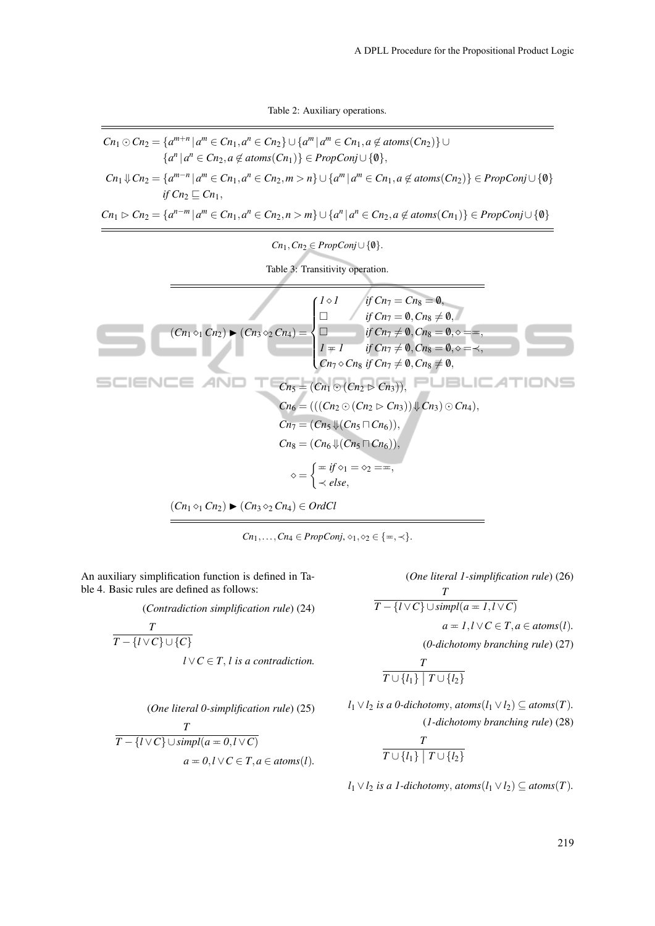Table 2: Auxiliary operations.

$$
C_{n_1} \odot C_{n_2} = \{a^{m+n} | a^m \in C_{n_1}, a^n \in C_{n_2}\} \cup \{a^m | a^m \in C_{n_1}, a \notin atoms(C_{n_2})\} \cup
$$
\n
$$
\{a^n | a^n \in C_{n_2}, a \notin atoms(C_{n_1})\} \in PropConj \cup \{0\},
$$
\n
$$
C_{n_1} \Downarrow C_{n_2} = \{a^{m-n} | a^m \in C_{n_1}, a^n \in C_{n_2}, m > n\} \cup \{a^m | a^m \in C_{n_1}, a \notin atoms(C_{n_2})\} \in PropConj \cup \{0\}
$$
\n
$$
\{f C_{n_2} \sqsubseteq C_{n_1},
$$
\n
$$
C_{n_1} \triangleright C_{n_2} = \{a^{n-m} | a^m \in C_{n_1}, a^n \in C_{n_2}, n > m\} \cup \{a^n | a^n \in C_{n_2}, a \notin atoms(C_{n_1})\} \in PropConj \cup \{0\}
$$
\n
$$
C_{n_1} \cap C_{n_2} \in PropConj \cup \{0\}.
$$
\nTable 3: Transitivity operation.

\n
$$
\overbrace{\bigcup_{i=1}^{n \text{ if } C_{n_1} = C_{n_3} = \emptyset, \text{ if } C_{n_1} = C_{n_3} = \emptyset, \text{ if } C_{n_1} = \emptyset, C_{n_3} \neq \emptyset, \text{ if } C_{n_1} = \emptyset, C_{n_3} = \emptyset, \text{ if } C_{n_1} = \emptyset, C_{n_3} = \emptyset, \text{ if } C_{n_1} = \emptyset, C_{n_3} = \emptyset, \text{ if } C_{n_1} = \emptyset, C_{n_3} = \emptyset, \text{ if } C_{n_1} = \emptyset, C_{n_3} = \emptyset, \text{ if } C_{n_1} = \emptyset, C_{n_3} = \emptyset, C_{n_3} = \emptyset, C_{n_3} = \emptyset, C_{n_3} = \emptyset, C_{n_3} = \emptyset, C_{n_3} = \emptyset, C_{n_3} = \emptyset, C_{n_3} = \emptyset, C_{n_3} = \emptyset, C_{n_3}
$$

 $Cn_1, \ldots, Cn_4 \in PropConj, \diamond_1, \diamond_2 \in {\{\pm, \prec\}}.$ 

An auxiliary simplification function is defined in Table 4. Basic rules are defined as follows:

(*Contradiction simplification rule*) (24)

$$
\frac{T}{T - \{l \lor C\} \cup \{C\}}
$$
  

$$
l \lor C \in T, l \text{ is a contradiction.}
$$

*(One literal 1-simplification rule)* (26)  
\n
$$
\frac{T}{T - \{l \lor C\} \cup \text{simpl}(a = 1, l \lor C)}
$$
\n
$$
a = 1, l \lor C \in T, a \in atoms(l).
$$
\n(*0*-*dichotomy branching rule*) (27)  
\n
$$
T
$$

$$
\frac{1}{T\cup\{l_1\}\mid T\cup\{l_2\}}
$$

*l*<sub>1</sub> ∨ *l*<sub>2</sub> *is a 0-dichotomy, atoms*(*l*<sub>1</sub> ∨ *l*<sub>2</sub>) ⊆ *atoms*(*T*). (*1-dichotomy branching rule*) (28)

$$
\frac{T}{T \cup \{l_1\} \mid T \cup \{l_2\}}
$$

*l*<sub>1</sub> ∨ *l*<sub>2</sub> *is a 1-dichotomy, atoms*(*l*<sub>1</sub> ∨ *l*<sub>2</sub>) ⊆ *atoms*(*T*).

(*One literal 0-simplification rule*) (25)  
\n
$$
\frac{T}{T - \{l \lor C\} \cup \text{simpl}(a = 0, l \lor C)}
$$
\n
$$
a = 0, l \lor C \in T, a \in atoms(l).
$$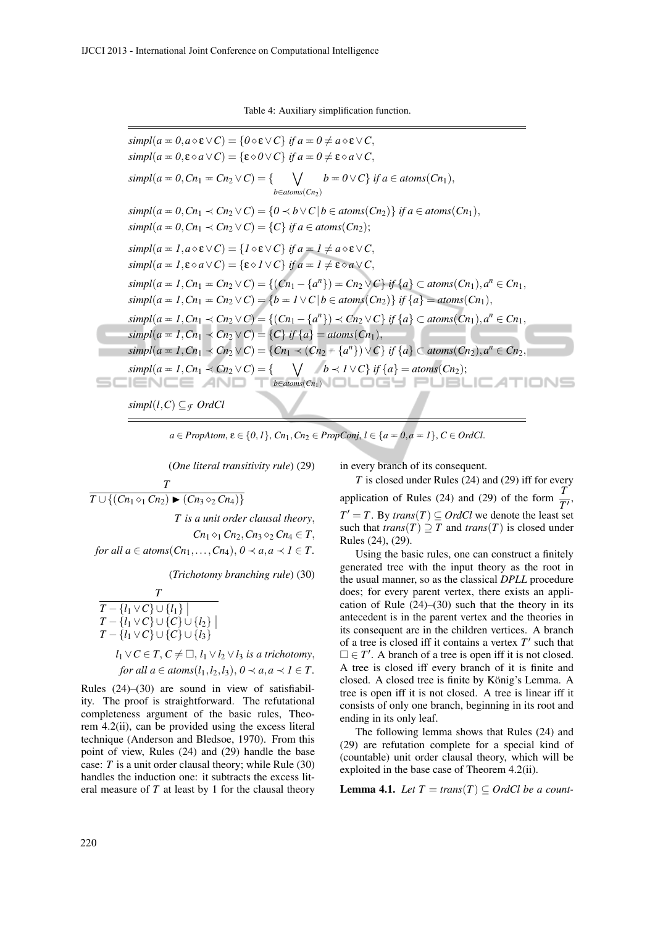Table 4: Auxiliary simplification function.

 $simpl(a = 0, a \diamond \varepsilon \vee C) = \{0 \diamond \varepsilon \vee C\}$  *if*  $a = 0 \neq a \diamond \varepsilon \vee C$ ,  $simpl(a = 0, \varepsilon \diamond a \vee C) = {\varepsilon \diamond 0 \vee C}$  *if*  $a = 0 \neq \varepsilon \diamond a \vee C$ ,  $simpl(a = 0, Cn_1 = Cn_2 \vee C) = \{ \qquad \bigvee$ *b*∈*atoms*(*Cn*2)  $b = 0 \vee C$  *if a* ∈ *atoms*(*Cn*<sub>1</sub>),  $simpl(a = 0, Cn_1 \prec Cn_2 \vee C) = \{0 \prec b \vee C \mid b \in atoms(Cn_2)\}$  *if a* ∈ *atoms*(*Cn*<sub>1</sub>),  $simpl(a = 0, Cn_1 \prec Cn_2 \vee C) = \{C\}$  *if a* ∈ *atoms*(*Cn*<sub>2</sub>);  $simpl(a = 1, a \diamond \varepsilon \vee C) = \{1 \diamond \varepsilon \vee C\}$  *if*  $a = 1 \neq a \diamond \varepsilon \vee C$ ,  $simpl(a = 1, \varepsilon \, \diamond a \, \vee \, C) = {\varepsilon \, \diamond \, 1 \vee C}$  *if a* =  $1 \neq \varepsilon \, \diamond \, a \, \vee \, C$ ,  $simpl(a = 1, Cn_1 = Cn_2 \vee C) = \{(Cn_1 - \{a^n\}) = Cn_2 \vee C\} \text{ if } \{a\} \subset atoms(Cn_1), a^n \in Cn_1,$  $simpl(a = 1, Cn_1 = Cn_2 \vee C) = \{b = 1 \vee C \mid b \in atoms(Cn_2)\}$  *if*  $\{a\} = atoms(Cn_1)$ ,  $simpl(a = 1, Cn_1 \prec Cn_2 \vee C) = \{(Cn_1 - \{a^n\}) \prec Cn_2 \vee C\} \text{ if } \{a\} \subset atoms(Cn_1), a^n \in Cn_1,$  $simpl(a = 1, Cn_1 \prec Cn_2 \vee C) = \{C\}$  *if*  $\{a\} = atoms(Cn_1),$ *simpl*( $a = 1, Cn_1 \prec Cn_2 \vee C$ ) = { $Cn_1 \prec (Cn_2 - \{a^n\}) \vee C$ } *if* {*a*} ⊂ *atoms*( $Cn_2$ ),*a*<sup>*n*</sup> ∈  $Cn_2$ ,  $simpl(a = 1, Cn_1 \prec Cn_2 \vee C) = \{ \quad \bigvee \quad b \prec 1 \vee C \} \text{ if } \{a\} = atoms(Cn_2);$ **b⊆IENCE AND TI¤∈atoms(Cn1)NOLOGH PUBLICATIONS** *simpl*(*l*,*C*)  $\subset$ <sub>*F*</sub> *OrdCl* 

 $a \in \text{PropAtom}, \varepsilon \in \{0, 1\}, \text{Cn}_1, \text{Cn}_2 \in \text{PropConj}, \ l \in \{a = 0, a = 1\}, \ C \in \text{Ord}$ Cl.

(*One literal transitivity rule*) (29)

$$
\overline{T \cup \{(Cn_1 \diamond_1 Cn_2) \blacktriangleright (Cn_3 \diamond_2 Cn_4)\}}
$$
  
*T* is a unit order clausal theory.

*T*

 $Cn_1 \diamond_1 Cn_2, Cn_3 \diamond_2 Cn_4 \in T$ *for all a*  $\in$  *atoms*( $Cn_1$ ,..., $Cn_4$ ),  $0 \prec a$ ,  $a \prec l \in T$ .

(*Trichotomy branching rule*) (30)

$$
\frac{T}{T - \{l_1 \vee C\} \cup \{l_1\}}\nT - \{l_1 \vee C\} \cup \{l_2\}\nT - \{l_1 \vee C\} \cup \{C\} \cup \{l_3\}\nT - \{l_1 \vee C\} \cup \{C\} \cup \{l_3\}\nI_1 \vee C \in T, C \neq \Box, l_1 \vee l_2 \vee l_3 \text{ is a trichotomy,}
$$
\nfor all  $a \in atoms(l_1, l_2, l_3), 0 \prec a, a \prec l \in T$ .

Rules (24)–(30) are sound in view of satisfiability. The proof is straightforward. The refutational completeness argument of the basic rules, Theorem 4.2(ii), can be provided using the excess literal technique (Anderson and Bledsoe, 1970). From this point of view, Rules (24) and (29) handle the base case: *T* is a unit order clausal theory; while Rule (30) handles the induction one: it subtracts the excess literal measure of *T* at least by 1 for the clausal theory

in every branch of its consequent.

*T* is closed under Rules (24) and (29) iff for every application of Rules (24) and (29) of the form  $\frac{T}{T}$ ,  $T' = T$ . By *trans*(*T*)  $\subseteq$  *OrdCl* we denote the least set such that  $trans(T) \supseteq T$  and  $trans(T)$  is closed under Rules (24), (29).

Using the basic rules, one can construct a finitely generated tree with the input theory as the root in the usual manner, so as the classical *DPLL* procedure does; for every parent vertex, there exists an application of Rule  $(24)$ – $(30)$  such that the theory in its antecedent is in the parent vertex and the theories in its consequent are in the children vertices. A branch of a tree is closed iff it contains a vertex  $T'$  such that  $\Box \in T'$ . A branch of a tree is open iff it is not closed. A tree is closed iff every branch of it is finite and closed. A closed tree is finite by König's Lemma. A tree is open iff it is not closed. A tree is linear iff it consists of only one branch, beginning in its root and ending in its only leaf.

The following lemma shows that Rules (24) and (29) are refutation complete for a special kind of (countable) unit order clausal theory, which will be exploited in the base case of Theorem 4.2(ii).

**Lemma 4.1.** Let  $T = \text{trans}(T) \subseteq \text{Ord}$ Cl be a count-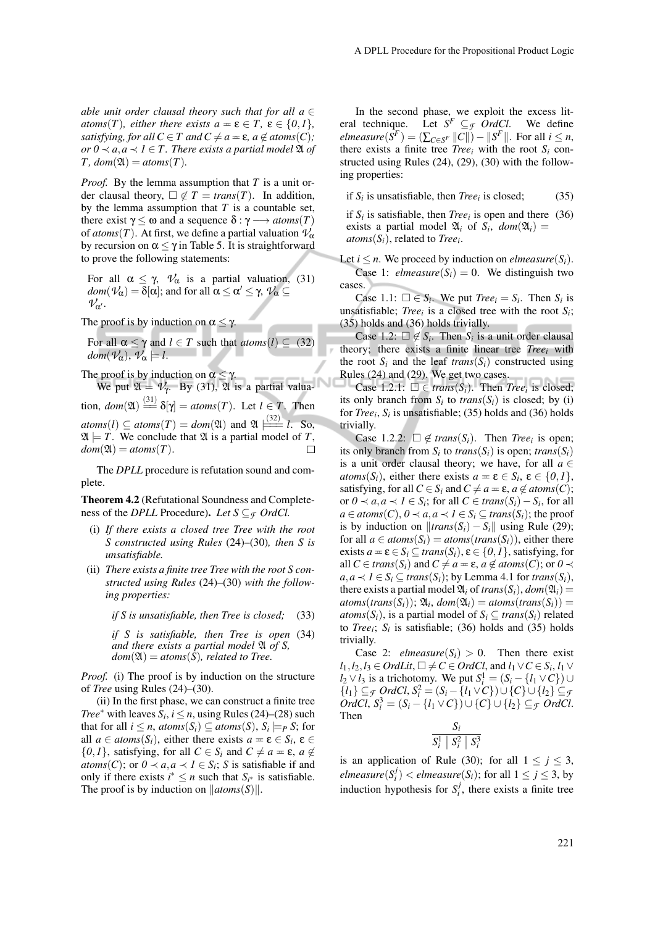*able unit order clausal theory such that for all a*  $\in$ *atoms*(*T*)*, either there exists*  $a = \varepsilon \in T$ *,*  $\varepsilon \in \{0,1\}$ *, satisfying, for all*  $C \in T$  *and*  $C \neq a = \varepsilon$ *,*  $a \notin atoms(C)$ *; or*  $0$  ≺  $a, a$  ≺  $1$  ∈  $T$ *. There exists a partial model*  $\mathfrak{A}$  *of*  $T$ *, dom*( $\mathfrak{A}$ ) = *atoms*( $T$ )*.* 

*Proof.* By the lemma assumption that *T* is a unit order clausal theory,  $\Box \notin T = trans(T)$ . In addition, by the lemma assumption that *T* is a countable set, there exist  $\gamma \leq \omega$  and a sequence  $\delta : \gamma \longrightarrow atoms(T)$ of  $atoms(T)$ . At first, we define a partial valuation  $\mathcal{V}_\alpha$ by recursion on  $\alpha \leq \gamma$  in Table 5. It is straightforward to prove the following statements:

For all  $\alpha \leq \gamma$ ,  $\mathcal{V}_{\alpha}$  is a partial valuation, (31) *dom*( $\mathcal{V}_\alpha$ ) = δ[α]; and for all  $\alpha \leq \alpha' \leq \gamma$ ,  $\mathcal{V}_\alpha \subseteq$  $V_{\alpha'}$ .

The proof is by induction on  $\alpha \leq \gamma$ .

For all  $\alpha \leq \gamma$  and  $l \in T$  such that  $atoms(l) \subseteq (32)$  $dom(\mathcal{V}_\alpha), \mathcal{V}_\alpha \models l$ .

The proof is by induction on  $\alpha \leq \gamma$ .

We put  $\mathfrak{A} = \mathcal{V}_{\gamma}$ . By (31),  $\mathfrak{A}'$  is a partial valuation,  $dom(\mathfrak{A}) \stackrel{(31)}{=} \delta[\gamma] = atoms(T)$ . Let  $l \in T$ . Then  $atoms(l) \subseteq atoms(T) = dom(\mathfrak{A})$  and  $\mathfrak{A} \stackrel{(32)}{=} l$ . So,  $\mathfrak{A} \models T$ . We conclude that  $\mathfrak{A}$  is a partial model of *T*,  $dom(\mathfrak{A}) = atoms(T).$  $\Box$ 

The *DPLL* procedure is refutation sound and complete.

Theorem 4.2 (Refutational Soundness and Completeness of the *DPLL* Procedure). Let  $S \subseteq \mathcal{F}$  *OrdCl.* 

- (i) *If there exists a closed tree Tree with the root S constructed using Rules* (24)–(30)*, then S is unsatisfiable.*
- (ii) *There exists a finite tree Tree with the root S constructed using Rules* (24)–(30) *with the following properties:*

*if S is unsatisfiable, then Tree is closed;* (33)

*if S is satisfiable, then Tree is open* (34) *and there exists a partial model* A *of S,*  $dom(\mathfrak{A}) = atoms(\overline{S})$ , related to Tree.

*Proof.* (i) The proof is by induction on the structure of *Tree* using Rules (24)–(30).

(ii) In the first phase, we can construct a finite tree *Tree*<sup>∗</sup> with leaves  $S_i$ ,  $i \leq n$ , using Rules (24)–(28) such that for all  $i \leq n$ ,  $atoms(S_i) \subseteq atoms(S)$ ,  $S_i \models_P S$ ; for all  $a \in atoms(S_i)$ , either there exists  $a = \varepsilon \in S_i$ ,  $\varepsilon \in$  $\{0,1\}$ , satisfying, for all  $C \in S_i$  and  $C \neq a = \varepsilon$ ,  $a \notin \mathcal{C}$ *atoms*(*C*); or  $0 \prec a, a \prec 1 \in S_i$ ; *S* is satisfiable if and only if there exists  $i^* \leq n$  such that  $S_{i^*}$  is satisfiable. The proof is by induction on  $\|atoms(S)\|$ .

In the second phase, we exploit the excess literal technique. Let  $S^F \subseteq \mathcal{F}$  *OrdCl*. We define  $\ell$ *elmeasure*( $\bar{S}^F$ ) = ( $\sum_{C \in S^F} ||C||$ ) –  $||S^F||$ . For all  $i \leq n$ , there exists a finite tree *Tree*<sup>*i*</sup> with the root  $S_i$  constructed using Rules (24), (29), (30) with the following properties:

if  $S_i$  is unsatisfiable, then *Tree*<sup>*i*</sup> is closed; (35)

if  $S_i$  is satisfiable, then *Tree*<sup>*i*</sup> is open and there (36) exists a partial model  $\mathfrak{A}_i$  of  $S_i$ ,  $dom(\mathfrak{A}_i)$  = *atoms*(*Si*), related to *Tree<sup>i</sup>* .

Let  $i \leq n$ . We proceed by induction on *elmeasure*( $S_i$ ). Case 1: *elmeasure*( $S_i$ ) = 0. We distinguish two cases.

Case 1.1:  $\square \in S_i$ . We put *Tree*<sub>*i*</sub> =  $S_i$ . Then  $S_i$  is unsatisfiable; *Tree*<sup>*i*</sup> is a closed tree with the root  $S_i$ ; (35) holds and (36) holds trivially.

Case 1.2:  $\Box \notin S_i$ . Then  $S_i$  is a unit order clausal theory; there exists a finite linear tree *Tree<sup>i</sup>* with the root  $S_i$  and the leaf *trans* $(S_i)$  constructed using Rules (24) and (29). We get two cases.

Case 1.2.1:  $\square \in trans(S_i)$ . Then *Tree<sub>i</sub>* is closed; its only branch from  $S_i$  to  $trans(S_i)$  is closed; by (i) for *Tree<sup>i</sup>* , *S<sup>i</sup>* is unsatisfiable; (35) holds and (36) holds trivially.

Case 1.2.2:  $\Box \notin trans(S_i)$ . Then *Tree<sub>i</sub>* is open; its only branch from  $S_i$  to  $trans(S_i)$  is open;  $trans(S_i)$ is a unit order clausal theory; we have, for all  $a \in$ *atoms*(*S*<sup>*i*</sup>), either there exists  $a = \varepsilon \in S_i$ ,  $\varepsilon \in \{0, 1\}$ , satisfying, for all  $C \in S_i$  and  $C \neq a = \varepsilon$ ,  $a \notin atoms(C)$ ; or  $0 \prec a, a \prec I$  ∈  $S_i$ ; for all  $C \in trans(S_i) - S_i$ , for all  $a \in atoms(C), 0 \prec a, a \prec l \in S_i \subseteq trans(S_i)$ ; the proof is by induction on  $||trans(S_i) - S_i||$  using Rule (29); for all  $a \in atoms(S_i) = atoms(trains(S_i))$ , either there exists  $a = \varepsilon \in S_i \subset trans(S_i), \varepsilon \in \{0, 1\}$ , satisfying, for all  $C \in trans(S_i)$  and  $C \neq a = \varepsilon$ ,  $a \notin atoms(C)$ ; or  $0 \prec$ *a*, *a* ≺ *1* ∈ *S*<sub>*i*</sub> ⊆ *trans*(*S*<sub>*i*</sub>); by Lemma 4.1 for *trans*(*S*<sub>*i*</sub>), there exists a partial model  $\mathfrak{A}_i$  of *trans* $(S_i)$ ,  $dom(\mathfrak{A}_i)$  =  $atoms(trains(S_i))$ ;  $\mathfrak{A}_i$ ,  $dom(\mathfrak{A}_i) = atoms(trains(S_i))$  = *atoms*( $S_i$ ), is a partial model of  $S_i \subseteq trans(S_i)$  related to *Tree*<sup> $i$ </sup>; *S*<sup>*i*</sup> is satisfiable; (36) holds and (35) holds trivially.

Case 2: *elmeasure*( $S_i$ ) > 0. Then there exist *l*<sub>1</sub>,*l*<sub>2</sub>,*l*<sub>3</sub> ∈ *OrdLit*,  $\Box$  ≠ *C* ∈ *OrdCl*, and *l*<sub>1</sub> ∨ *C* ∈ *S*<sub>*i*</sub>, *l*<sub>1</sub> ∨ *l*<sub>2</sub> ∨ *l*<sub>3</sub> is a trichotomy. We put  $S_i^1 = (S_i - \{l_1 \vee C\}) \cup$ *{l*<sub>1</sub>} ⊆ *f OrdCl*,  $S_i^2 = (S_i - \{l_1 \vee C\}) \cup \{C\} \cup \{l_2\}$ ⊆ *f OrdCl*,  $S_i^3 = (S_i - \{l_1 \vee C\}) \cup \{C\} \cup \{l_2\} \subseteq$ *F OrdCl*. Then

$$
\frac{S_i}{S_i^1 \mid S_i^2 \mid S_i^3}
$$

is an application of Rule (30); for all  $1 \le j \le 3$ ,  $\textit{elmeasure}(S_i^j) < \textit{elmeasure}(S_i)$ ; for all  $1 \leq j \leq 3$ , by induction hypothesis for  $S_i^j$ , there exists a finite tree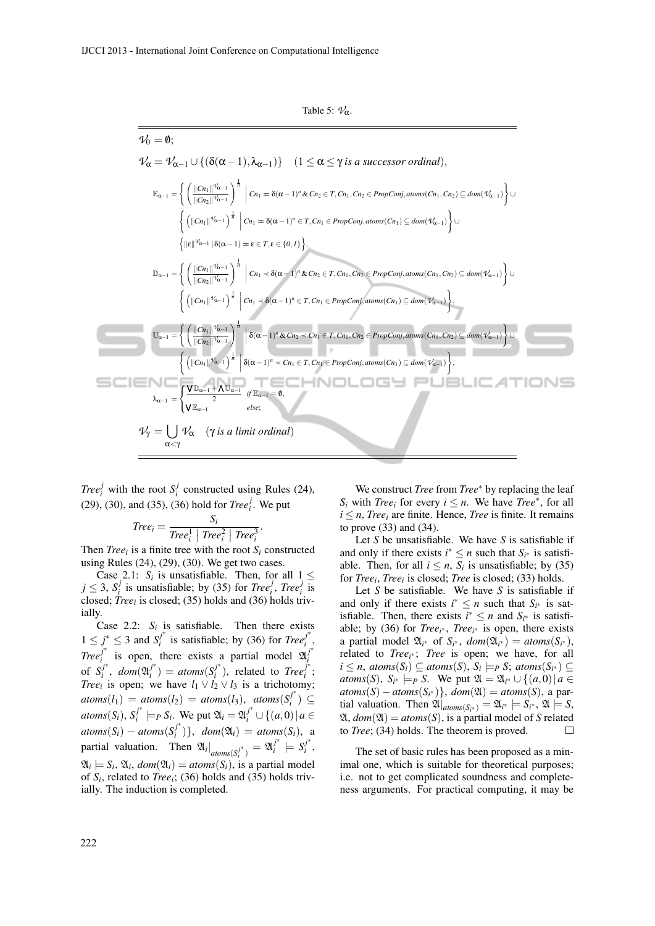Table 5:  $\mathcal{V}_{\alpha}$ .

$$
\mathcal{V}_{0} = 0;
$$
\n
$$
\mathcal{V}_{\alpha} = \mathcal{V}_{\alpha-1} \cup \{ (\delta(\alpha-1), \lambda_{\alpha-1}) \} \quad (1 \leq \alpha \leq \gamma \text{ is a successor ordinal}),
$$
\n
$$
\mathbb{E}_{\alpha-1} = \left\{ \left( \frac{\|C_{n_{1}}\|^{2\ell_{\alpha-1}}}{\|C_{n_{2}}\|^{2\ell_{\alpha-1}}}\right)^{\frac{1}{n}} \Big| C_{n_{1}} = \delta(\alpha-1)^{n} \& C_{n_{2}} \in T, C_{n_{1}}, C_{n_{2}} \in PropConj, atoms(C_{n_{1}}, C_{n_{2}}) \subseteq dom(\mathcal{V}_{\alpha-1}) \right\} \cup \left\{ \left( \left\|C_{n_{1}}\|^{2\ell_{\alpha-1}}\right)^{\frac{1}{n}} \Big| C_{n_{1}} = \delta(\alpha-1)^{n} \in T, C_{n_{1}} \in PropConj, atoms(C_{n_{1}}) \subseteq dom(\mathcal{V}_{\alpha-1}) \right\} \cup \left\{ \left\|E\|^{2\ell_{\alpha-1}} \Big| \delta(\alpha-1) = \epsilon \in T, \epsilon \in \{0,1\} \right\}, \right\}
$$
\n
$$
\mathbb{D}_{\alpha-1} = \left\{ \left( \frac{\|C_{n_{1}}\|^{2\ell_{\alpha-1}}}{\|C_{n_{2}}\|^{2\ell_{\alpha-1}}}\right)^{\frac{1}{n}} \Big| C_{n_{1}} \prec \delta(\alpha-1)^{n} \& C_{n_{2}} \in T, C_{n_{1}}, C_{n_{2}} \in PropConj, atoms(C_{n_{1}}, C_{n_{2}}) \subseteq dom(\mathcal{V}_{\alpha-1}) \right\} \cup \left\{ \left( \left\|C_{n_{1}}\right\|^{2\ell_{\alpha-1}}\right)^{\frac{1}{n}} \Big| C_{n_{1}} \prec \delta(\alpha-1)^{n} \in T, C_{n_{1}} \in PropConj, atoms(C_{n_{1}}) \subseteq dom(\mathcal{V}_{\alpha-1}) \right\}, \right\}
$$
\n
$$
\mathbb{U}_{\alpha-1} = \left\{ \left( \frac{\|C_{n_{1}}\|^{2\ell_{\alpha-1}}}{\|C_{n_{2}}\|^{2\ell_{\alpha-1}}}\right)^{\frac{1}{
$$

*Tree*<sup>*j*</sup> with the root  $S_i^j$  constructed using Rules (24), (29), (30), and (35), (36) hold for *Tree*<sup>*j*</sup>. We put

$$
Tree_i = \frac{S_i}{Tree_i^1 | Tree_i^2 | Tree_i^3}.
$$

Then *Tree*<sup>*i*</sup> is a finite tree with the root  $S_i$  constructed using Rules (24), (29), (30). We get two cases.

Case 2.1:  $S_i$  is unsatisfiable. Then, for all  $1 \leq$  $j \leq 3$ ,  $S_i^j$  is unsatisfiable; by (35) for *Tree*<sup>*i*</sup><sub>*i*</sub>, *Tree*<sup>*i*</sup><sub>*i*</sub> is closed; *Tree<sup>i</sup>* is closed; (35) holds and (36) holds trivially.

Case 2.2:  $S_i$  is satisfiable. Then there exists  $1 \leq j^* \leq 3$  and  $S_i^{j^*}$  $j_i^*$  is satisfiable; by (36) for *Tree*<sup> $j^*$ </sup> *i* , *Tree<sup>j</sup>* ∗  $j^*$  is open, there exists a partial model  $\mathfrak{A}_i^{j^*}$ *i* of  $S_i^{j^*}$  $\int_i^{j^*}$ , *dom* $(\mathfrak{A}_i^{j^*})$  $j_i^*$ ) =  $atoms(S_i^{j^*})$  $j^*$ ), related to *Tree*<sup> $j^*$ </sup> *i* ; *Tree*<sup>*i*</sup> is open; we have  $l_1 \vee l_2 \vee l_3$  is a trichotomy;  $atoms(l_1) = atoms(l_2) = atoms(l_3), atoms(S_i^{j^*})$ *i* ) ⊆  $atoms(S_i)$ ,  $S_i^{j^*}$  $j^{*}$   $\models$ *P S*<sub>*i*</sub>. We put  $\mathfrak{A}_{i} = \mathfrak{A}_{i}^{j^{*}} \cup \{(a, 0) | a \in$  $atoms(S_i) - atoms(S_i^j)$  $\{d_i\}$ ,  $dom(\mathfrak{A}_i) = atoms(S_i)$ , a partial valuation. Then  $\mathfrak{A}_i|_{atoms(S_i^{j^*})}$  $a_i^{j*}$ <sub>*i*</sub>  $j^*$   $\models S_i^{j^*}$ *i* ,  $\mathfrak{A}_i \models S_i$ ,  $\mathfrak{A}_i$ ,  $dom(\mathfrak{A}_i) = atoms(S_i)$ , is a partial model of *S<sup>i</sup>* , related to *Tree<sup>i</sup>* ; (36) holds and (35) holds trivially. The induction is completed.

We construct *Tree* from *Tree*<sup>∗</sup> by replacing the leaf *S*<sup>*i*</sup> with *Tree*<sup>*i*</sup> for every *i*  $\leq$  *n*. We have *Tree*<sup>\*</sup>, for all  $i \leq n$ , *Tree<sub>i</sub>* are finite. Hence, *Tree* is finite. It remains to prove (33) and (34).

Let *S* be unsatisfiable. We have *S* is satisfiable if and only if there exists  $i^* \leq n$  such that  $S_{i^*}$  is satisfiable. Then, for all  $i \leq n$ ,  $S_i$  is unsatisfiable; by (35) for *Tree<sup>i</sup>* , *Tree<sup>i</sup>* is closed; *Tree* is closed; (33) holds.

Let *S* be satisfiable. We have *S* is satisfiable if and only if there exists  $i^* \leq n$  such that  $S_{i^*}$  is satisfiable. Then, there exists  $i^* \leq n$  and  $S_{i^*}$  is satisfiable; by (36) for *Tree<sup>i</sup>* <sup>∗</sup> , *Tree<sup>i</sup>* <sup>∗</sup> is open, there exists a partial model  $\mathfrak{A}_{i^*}$  of  $S_{i^*}$ ,  $dom(\mathfrak{A}_{i^*}) = atoms(S_{i^*})$ , related to *Tree<sub>i</sub>*∗; *Tree* is open; we have, for all  $i \leq n$ ,  $atoms(S_i) \subseteq atoms(S)$ ,  $S_i \models_P S$ ;  $atoms(S_{i^*}) \subseteq$ *atoms*(*S*),  $S_{i^*} \models_P S$ . We put  $\mathfrak{A} = \mathfrak{A}_{i^*} \cup \{(a,0) | a \in$  $atoms(S) - atoms(S_{i^*})\},\ dom(\mathfrak{A}) = atoms(S)$ , a par- $\mathfrak{A}$  itial valuation. Then  $\mathfrak{A}|_{atoms(S_{i^*})} = \mathfrak{A}_{i^*} \models S_{i^*}, \mathfrak{A} \models S$ ,  $\mathfrak{A}, \text{dom}(\mathfrak{A}) = \text{atoms}(S)$ , is a partial model of *S* related to *Tree*; (34) holds. The theorem is proved.

The set of basic rules has been proposed as a minimal one, which is suitable for theoretical purposes; i.e. not to get complicated soundness and completeness arguments. For practical computing, it may be

c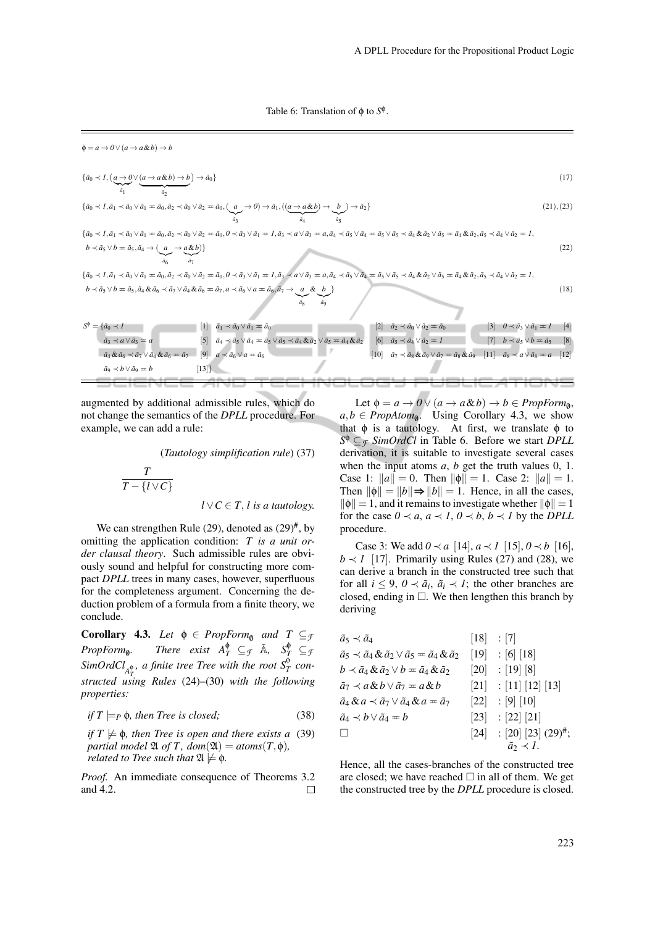Table 6: Translation of  $\phi$  to  $S^{\phi}$ .

$$
\phi = a \to 0 \lor (a \to a \& b) \to b
$$
\n
$$
\{\bar{a}_0 \prec 1, (\underline{a} \to 0 \lor (\underline{a} \to a \& b) \to b)) \to \bar{a}_0\}
$$
\n
$$
\{\bar{a}_0 \prec 1, \bar{a}_1 \prec \bar{a}_0 \lor \bar{a}_1 = \bar{a}_0, \bar{a}_2 \prec \bar{a}_0 \lor \bar{a}_2 = \bar{a}_0, (\underline{a} \to 0) \to \bar{a}_1, ((\underline{a} \to \underline{a} \& b) \to \underline{b}) \to \bar{a}_2\}
$$
\n
$$
\{\bar{a}_0 \prec 1, \bar{a}_1 \prec \bar{a}_0 \lor \bar{a}_1 = \bar{a}_0, \bar{a}_2 \prec \bar{a}_0 \lor \bar{a}_2 = \bar{a}_0, 0 \prec \bar{a}_3 \lor \bar{a}_1 = 1, \bar{a}_3 \prec a \lor \bar{a}_3 = a, \bar{a}_4 \prec \bar{a}_5 \lor \bar{a}_4 = \bar{a}_5 \lor \bar{a}_5 \prec \bar{a}_4 \& \bar{a}_2 \lor \bar{a}_5 = \bar{a}_4 \& \bar{a}_2, \bar{a}_5 \prec \bar{a}_4 \lor \bar{a}_2 = 1,
$$
\n
$$
b \prec \bar{a}_5 \lor b = \bar{a}_5, \bar{a}_4 \& \bar{a}_6 \prec \bar{a}_7 \lor \bar{a}_4 \& \bar{a}_6 = \bar{a}_7, a \prec \bar{a}_6 \lor \bar{a}_1 = 1, \bar{a}_3 \prec a \lor \bar{a}_3 = a, \bar{a}_4 \prec \bar{a}_5 \lor \bar{a}_4 = \bar{a}_5 \lor \bar{a}_5 \prec \bar{a}_4 \& \bar{a}_2 \lor \bar{a}_5 = \bar{a}_4 \& \bar{a}_2, \bar{a}_5 \prec \bar{a}_4 \lor \bar{a}_2 = 1,
$$
\n
$$
b \prec \bar{a}_5 \lor b = \bar{a}_5, \bar{a}_4 \& \bar{a}_6 \prec \bar{a}_7 \lor \bar{a}_4 \& \bar{a}_6 = \bar{a}_7, a \prec \bar{a}_6 \lor a = \bar{a}_6, \bar{a}_7 \to
$$

augmented by additional admissible rules, which do not change the semantics of the *DPLL* procedure. For example, we can add a rule:

(*Tautology simplification rule*) (37)

$$
\frac{T}{T - \{l \vee C\}}
$$
  

$$
l \vee C \in T, l \text{ is a tautology.}
$$

We can strengthen Rule  $(29)$ , denoted as  $(29)^{\#}$ , by omitting the application condition: *T is a unit order clausal theory*. Such admissible rules are obviously sound and helpful for constructing more compact *DPLL* trees in many cases, however, superfluous for the completeness argument. Concerning the deduction problem of a formula from a finite theory, we conclude.

**Corollary 4.3.** *Let*  $\phi \in PropForm_{\emptyset}$  *and*  $T \subseteq \mathcal{F}$  $PropForm_{\emptyset}$ . *a There exist*  $A_T^{\phi} \subseteq_{\mathcal{F}} \tilde{A}$ ,  $S_T^{\phi} \subseteq_{\mathcal{F}}$  $\int \mathrm{SimOrd} Cl_{A_T^{\Phi}}$ , a finite tree Tree with the root  $S_T^{\Phi}$  con-*T structed using Rules* (24)–(30) *with the following properties:*

$$
if T \models_P \phi, then Tree is closed;
$$
 (38)

 $if T \not\models \phi$ , then Tree is open and there exists a (39) *partial model*  $\mathfrak{A}$  *of T, dom*( $\mathfrak{A}$ ) = *atoms*( $T$ , $\phi$ )*, related to Tree such that*  $\mathfrak{A} \not\models \phi$ *.* 

*Proof.* An immediate consequence of Theorems 3.2 and 4.2.  $\Box$ 

Let  $\phi = a \rightarrow 0 \vee (a \rightarrow a \& b) \rightarrow b \in PropForm_{\emptyset}$ ,  $a, b \in \text{PropAtom}_{\emptyset}$ . Using Corollary 4.3, we show that  $\phi$  is a tautology. At first, we translate  $\phi$  to *S* <sup>φ</sup> ⊆*<sup>F</sup> SimOrdCl* in Table 6. Before we start *DPLL* derivation, it is suitable to investigate several cases when the input atoms *a*, *b* get the truth values 0, 1. Case 1:  $||a|| = 0$ . Then  $||\phi|| = 1$ . Case 2:  $||a|| = 1$ . Then  $\|\phi\| = \|b\| \Rightarrow \|b\| = 1$ . Hence, in all the cases,  $\|\phi\| = 1$ , and it remains to investigate whether  $\|\phi\| = 1$ for the case  $0 \prec a$ ,  $a \prec 1$ ,  $0 \prec b$ ,  $b \prec 1$  by the *DPLL* procedure.

Case 3: We add  $0 \prec a$  [14],  $a \prec 1$  [15],  $0 \prec b$  [16],  $b \prec 1$  [17]. Primarily using Rules (27) and (28), we can derive a branch in the constructed tree such that for all  $i \leq 9$ ,  $0 \prec \tilde{a}_i$ ,  $\tilde{a}_i \prec 1$ ; the other branches are closed, ending in  $\Box$ . We then lengthen this branch by deriving

$$
\tilde{a}_5 \prec \tilde{a}_4 \qquad [18] : [7]
$$
\n
$$
\tilde{a}_5 \prec \tilde{a}_4 \& \tilde{a}_2 \lor \tilde{a}_5 = \tilde{a}_4 \& \tilde{a}_2 \qquad [19] : [6] [18]
$$
\n
$$
b \prec \tilde{a}_4 \& \tilde{a}_2 \lor b = \tilde{a}_4 \& \tilde{a}_2 \qquad [20] : [19] [8]
$$
\n
$$
\tilde{a}_7 \prec a \& b \lor \tilde{a}_7 = a \& b \qquad [21] : [11] [12] [13]
$$
\n
$$
\tilde{a}_4 \& \tilde{a}_4 \prec \tilde{a}_7 \lor \tilde{a}_4 \& a = \tilde{a}_7 \qquad [22] : [9] [10]
$$
\n
$$
\tilde{a}_4 \prec b \lor \tilde{a}_4 = b \qquad [23] : [22] [21]
$$
\n
$$
\Box \qquad [24] : [20] [23] (29)^{\#};
$$
\n
$$
\tilde{a}_2 \prec I.
$$

Hence, all the cases-branches of the constructed tree are closed; we have reached  $\Box$  in all of them. We get the constructed tree by the *DPLL* procedure is closed.